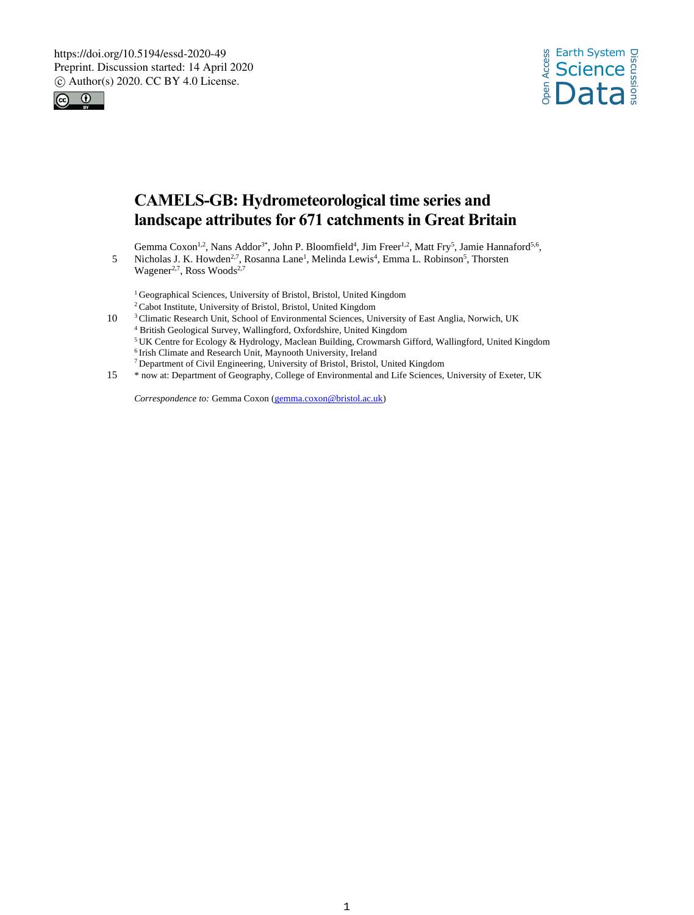



# **CAMELS-GB: Hydrometeorological time series and landscape attributes for 671 catchments in Great Britain**

Gemma Coxon<sup>1,2</sup>, Nans Addor<sup>3\*</sup>, John P. Bloomfield<sup>4</sup>, Jim Freer<sup>1,2</sup>, Matt Fry<sup>5</sup>, Jamie Hannaford<sup>5,6</sup>,

5 Nicholas J. K. Howden<sup>2,7</sup>, Rosanna Lane<sup>1</sup>, Melinda Lewis<sup>4</sup>, Emma L. Robinson<sup>5</sup>, Thorsten Wagener<sup>2,7</sup>, Ross Woods<sup>2,7</sup>

<sup>1</sup> Geographical Sciences, University of Bristol, Bristol, United Kingdom

<sup>2</sup> Cabot Institute, University of Bristol, Bristol, United Kingdom

- <sup>3</sup> Climatic Research Unit, School of Environmental Sciences, University of East Anglia, Norwich, UK <sup>4</sup> British Geological Survey, Wallingford, Oxfordshire, United Kingdom <sup>5</sup>UK Centre for Ecology & Hydrology, Maclean Building, Crowmarsh Gifford, Wallingford, United Kingdom <sup>6</sup> Irish Climate and Research Unit, Maynooth University, Ireland <sup>7</sup> Department of Civil Engineering, University of Bristol, Bristol, United Kingdom
- 15 \* now at: Department of Geography, College of Environmental and Life Sciences, University of Exeter, UK

*Correspondence to:* Gemma Coxon (gemma.coxon@bristol.ac.uk)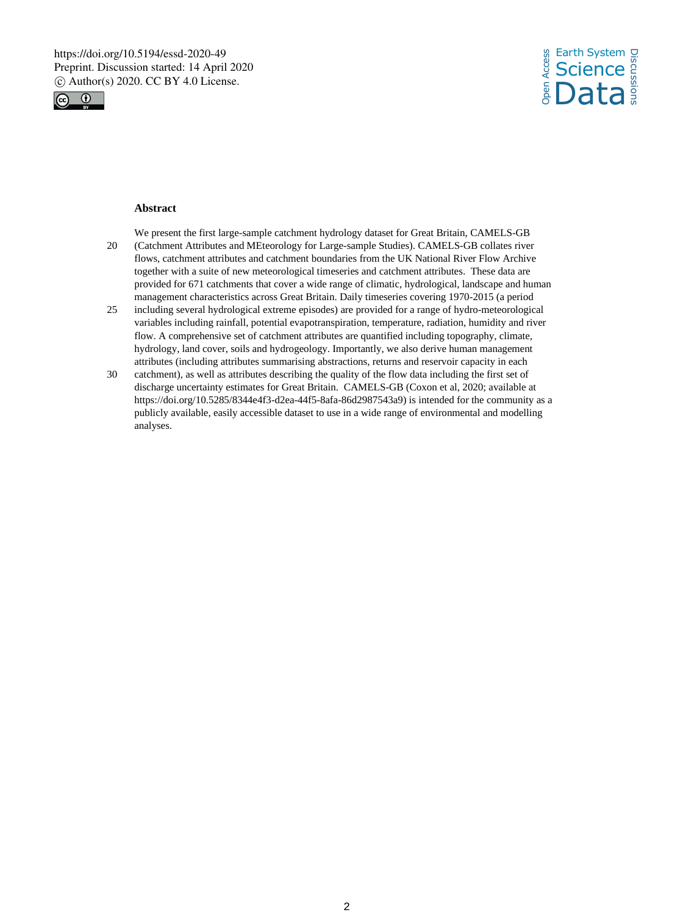



## **Abstract**

We present the first large-sample catchment hydrology dataset for Great Britain, CAMELS-GB

- 20 (Catchment Attributes and MEteorology for Large-sample Studies). CAMELS-GB collates river flows, catchment attributes and catchment boundaries from the UK National River Flow Archive together with a suite of new meteorological timeseries and catchment attributes. These data are provided for 671 catchments that cover a wide range of climatic, hydrological, landscape and human management characteristics across Great Britain. Daily timeseries covering 1970-2015 (a period
- 25 including several hydrological extreme episodes) are provided for a range of hydro-meteorological variables including rainfall, potential evapotranspiration, temperature, radiation, humidity and river flow. A comprehensive set of catchment attributes are quantified including topography, climate, hydrology, land cover, soils and hydrogeology. Importantly, we also derive human management attributes (including attributes summarising abstractions, returns and reservoir capacity in each
- 30 catchment), as well as attributes describing the quality of the flow data including the first set of discharge uncertainty estimates for Great Britain. CAMELS-GB (Coxon et al, 2020; available at https://doi.org/10.5285/8344e4f3-d2ea-44f5-8afa-86d2987543a9) is intended for the community as a publicly available, easily accessible dataset to use in a wide range of environmental and modelling analyses.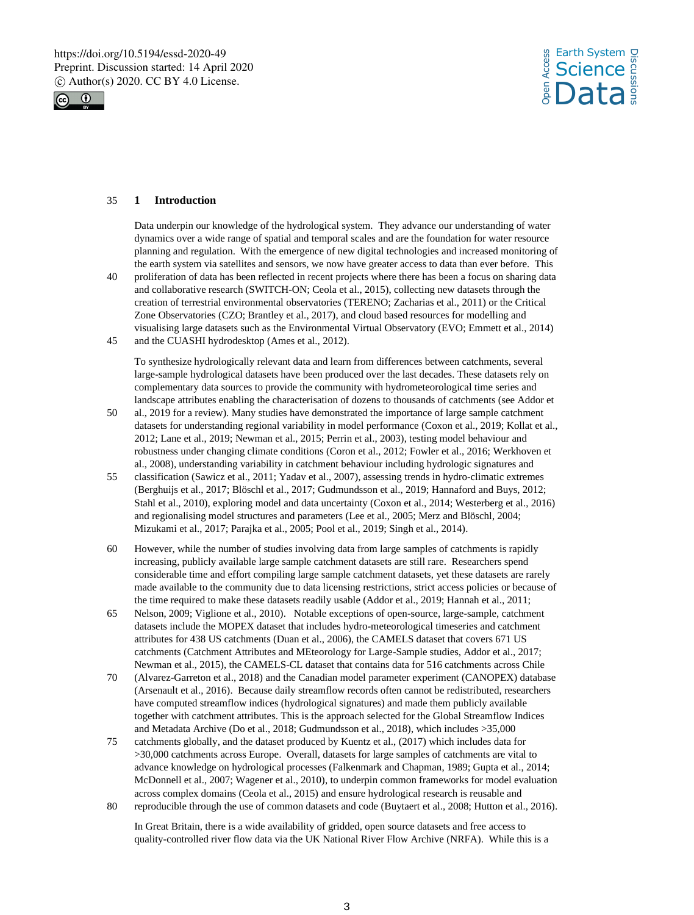



## 35 **1 Introduction**

Data underpin our knowledge of the hydrological system. They advance our understanding of water dynamics over a wide range of spatial and temporal scales and are the foundation for water resource planning and regulation. With the emergence of new digital technologies and increased monitoring of the earth system via satellites and sensors, we now have greater access to data than ever before. This

- 40 proliferation of data has been reflected in recent projects where there has been a focus on sharing data and collaborative research (SWITCH-ON; Ceola et al., 2015), collecting new datasets through the creation of terrestrial environmental observatories (TERENO; Zacharias et al., 2011) or the Critical Zone Observatories (CZO; Brantley et al., 2017), and cloud based resources for modelling and visualising large datasets such as the Environmental Virtual Observatory (EVO; Emmett et al., 2014)
- 45 and the CUASHI hydrodesktop (Ames et al., 2012).

To synthesize hydrologically relevant data and learn from differences between catchments, several large-sample hydrological datasets have been produced over the last decades. These datasets rely on complementary data sources to provide the community with hydrometeorological time series and landscape attributes enabling the characterisation of dozens to thousands of catchments (see Addor et

- 50 al., 2019 for a review). Many studies have demonstrated the importance of large sample catchment datasets for understanding regional variability in model performance (Coxon et al., 2019; Kollat et al., 2012; Lane et al., 2019; Newman et al., 2015; Perrin et al., 2003), testing model behaviour and robustness under changing climate conditions (Coron et al., 2012; Fowler et al., 2016; Werkhoven et al., 2008), understanding variability in catchment behaviour including hydrologic signatures and
- 55 classification (Sawicz et al., 2011; Yadav et al., 2007), assessing trends in hydro-climatic extremes (Berghuijs et al., 2017; Blöschl et al., 2017; Gudmundsson et al., 2019; Hannaford and Buys, 2012; Stahl et al., 2010), exploring model and data uncertainty (Coxon et al., 2014; Westerberg et al., 2016) and regionalising model structures and parameters (Lee et al., 2005; Merz and Blöschl, 2004; Mizukami et al., 2017; Parajka et al., 2005; Pool et al., 2019; Singh et al., 2014).
- 60 However, while the number of studies involving data from large samples of catchments is rapidly increasing, publicly available large sample catchment datasets are still rare. Researchers spend considerable time and effort compiling large sample catchment datasets, yet these datasets are rarely made available to the community due to data licensing restrictions, strict access policies or because of the time required to make these datasets readily usable (Addor et al., 2019; Hannah et al., 2011;
- 65 Nelson, 2009; Viglione et al., 2010). Notable exceptions of open-source, large-sample, catchment datasets include the MOPEX dataset that includes hydro-meteorological timeseries and catchment attributes for 438 US catchments (Duan et al., 2006), the CAMELS dataset that covers 671 US catchments (Catchment Attributes and MEteorology for Large-Sample studies, Addor et al., 2017; Newman et al., 2015), the CAMELS-CL dataset that contains data for 516 catchments across Chile
- 70 (Alvarez-Garreton et al., 2018) and the Canadian model parameter experiment (CANOPEX) database (Arsenault et al., 2016). Because daily streamflow records often cannot be redistributed, researchers have computed streamflow indices (hydrological signatures) and made them publicly available together with catchment attributes. This is the approach selected for the Global Streamflow Indices and Metadata Archive (Do et al., 2018; Gudmundsson et al., 2018), which includes >35,000
- 75 catchments globally, and the dataset produced by Kuentz et al., (2017) which includes data for >30,000 catchments across Europe. Overall, datasets for large samples of catchments are vital to advance knowledge on hydrological processes (Falkenmark and Chapman, 1989; Gupta et al., 2014; McDonnell et al., 2007; Wagener et al., 2010), to underpin common frameworks for model evaluation across complex domains (Ceola et al., 2015) and ensure hydrological research is reusable and 80 reproducible through the use of common datasets and code (Buytaert et al., 2008; Hutton et al., 2016).
- In Great Britain, there is a wide availability of gridded, open source datasets and free access to

quality-controlled river flow data via the UK National River Flow Archive (NRFA). While this is a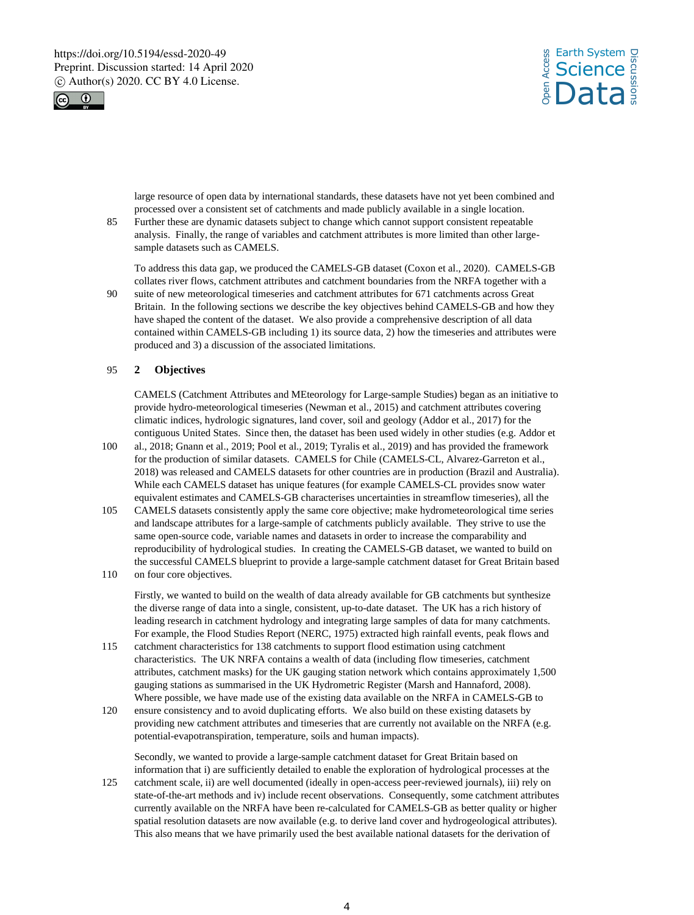



large resource of open data by international standards, these datasets have not yet been combined and processed over a consistent set of catchments and made publicly available in a single location.

85 Further these are dynamic datasets subject to change which cannot support consistent repeatable analysis. Finally, the range of variables and catchment attributes is more limited than other largesample datasets such as CAMELS.

To address this data gap, we produced the CAMELS-GB dataset (Coxon et al., 2020). CAMELS-GB collates river flows, catchment attributes and catchment boundaries from the NRFA together with a

90 suite of new meteorological timeseries and catchment attributes for 671 catchments across Great Britain. In the following sections we describe the key objectives behind CAMELS-GB and how they have shaped the content of the dataset. We also provide a comprehensive description of all data contained within CAMELS-GB including 1) its source data, 2) how the timeseries and attributes were produced and 3) a discussion of the associated limitations.

## 95 **2 Objectives**

CAMELS (Catchment Attributes and MEteorology for Large-sample Studies) began as an initiative to provide hydro-meteorological timeseries (Newman et al., 2015) and catchment attributes covering climatic indices, hydrologic signatures, land cover, soil and geology (Addor et al., 2017) for the contiguous United States. Since then, the dataset has been used widely in other studies (e.g. Addor et

- 100 al., 2018; Gnann et al., 2019; Pool et al., 2019; Tyralis et al., 2019) and has provided the framework for the production of similar datasets. CAMELS for Chile (CAMELS-CL, Alvarez-Garreton et al., 2018) was released and CAMELS datasets for other countries are in production (Brazil and Australia). While each CAMELS dataset has unique features (for example CAMELS-CL provides snow water equivalent estimates and CAMELS-GB characterises uncertainties in streamflow timeseries), all the
- 105 CAMELS datasets consistently apply the same core objective; make hydrometeorological time series and landscape attributes for a large-sample of catchments publicly available. They strive to use the same open-source code, variable names and datasets in order to increase the comparability and reproducibility of hydrological studies. In creating the CAMELS-GB dataset, we wanted to build on the successful CAMELS blueprint to provide a large-sample catchment dataset for Great Britain based
- 110 on four core objectives.

Firstly, we wanted to build on the wealth of data already available for GB catchments but synthesize the diverse range of data into a single, consistent, up-to-date dataset. The UK has a rich history of leading research in catchment hydrology and integrating large samples of data for many catchments. For example, the Flood Studies Report (NERC, 1975) extracted high rainfall events, peak flows and

- 115 catchment characteristics for 138 catchments to support flood estimation using catchment characteristics. The UK NRFA contains a wealth of data (including flow timeseries, catchment attributes, catchment masks) for the UK gauging station network which contains approximately 1,500 gauging stations as summarised in the UK Hydrometric Register (Marsh and Hannaford, 2008). Where possible, we have made use of the existing data available on the NRFA in CAMELS-GB to
- 120 ensure consistency and to avoid duplicating efforts. We also build on these existing datasets by providing new catchment attributes and timeseries that are currently not available on the NRFA (e.g. potential-evapotranspiration, temperature, soils and human impacts).

Secondly, we wanted to provide a large-sample catchment dataset for Great Britain based on information that i) are sufficiently detailed to enable the exploration of hydrological processes at the

125 catchment scale, ii) are well documented (ideally in open-access peer-reviewed journals), iii) rely on state-of-the-art methods and iv) include recent observations. Consequently, some catchment attributes currently available on the NRFA have been re-calculated for CAMELS-GB as better quality or higher spatial resolution datasets are now available (e.g. to derive land cover and hydrogeological attributes). This also means that we have primarily used the best available national datasets for the derivation of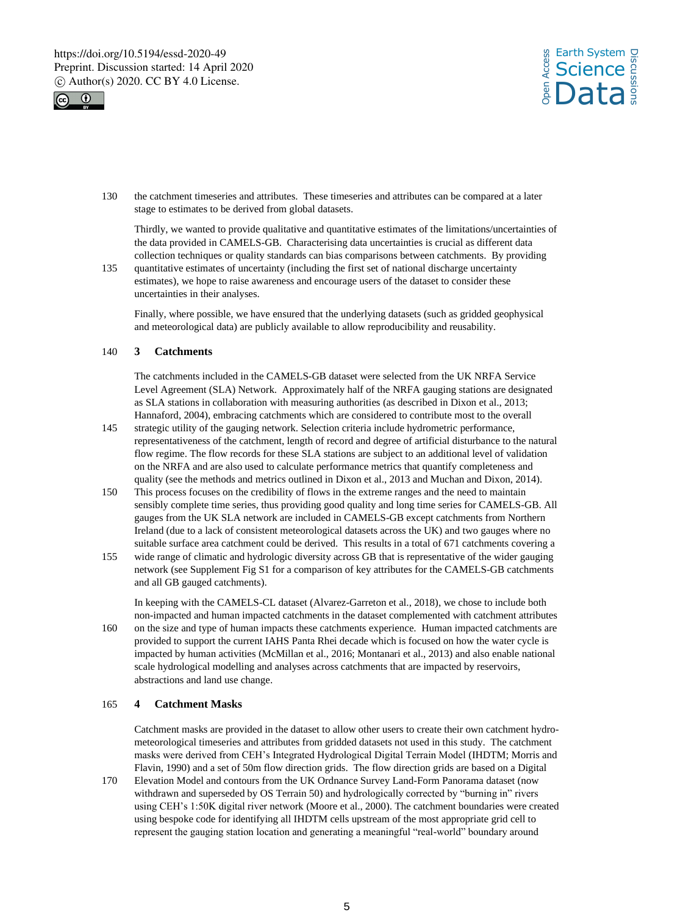



130 the catchment timeseries and attributes. These timeseries and attributes can be compared at a later stage to estimates to be derived from global datasets.

Thirdly, we wanted to provide qualitative and quantitative estimates of the limitations/uncertainties of the data provided in CAMELS-GB. Characterising data uncertainties is crucial as different data collection techniques or quality standards can bias comparisons between catchments. By providing

135 quantitative estimates of uncertainty (including the first set of national discharge uncertainty estimates), we hope to raise awareness and encourage users of the dataset to consider these uncertainties in their analyses.

Finally, where possible, we have ensured that the underlying datasets (such as gridded geophysical and meteorological data) are publicly available to allow reproducibility and reusability.

# 140 **3 Catchments**

The catchments included in the CAMELS-GB dataset were selected from the UK NRFA Service Level Agreement (SLA) Network. Approximately half of the NRFA gauging stations are designated as SLA stations in collaboration with measuring authorities (as described in Dixon et al., 2013; Hannaford, 2004), embracing catchments which are considered to contribute most to the overall

- 145 strategic utility of the gauging network. Selection criteria include hydrometric performance, representativeness of the catchment, length of record and degree of artificial disturbance to the natural flow regime. The flow records for these SLA stations are subject to an additional level of validation on the NRFA and are also used to calculate performance metrics that quantify completeness and quality (see the methods and metrics outlined in Dixon et al., 2013 and Muchan and Dixon, 2014).
- 150 This process focuses on the credibility of flows in the extreme ranges and the need to maintain sensibly complete time series, thus providing good quality and long time series for CAMELS-GB. All gauges from the UK SLA network are included in CAMELS-GB except catchments from Northern Ireland (due to a lack of consistent meteorological datasets across the UK) and two gauges where no suitable surface area catchment could be derived. This results in a total of 671 catchments covering a
- 155 wide range of climatic and hydrologic diversity across GB that is representative of the wider gauging network (see Supplement Fig S1 for a comparison of key attributes for the CAMELS-GB catchments and all GB gauged catchments).

In keeping with the CAMELS-CL dataset (Alvarez-Garreton et al., 2018), we chose to include both non-impacted and human impacted catchments in the dataset complemented with catchment attributes 160 on the size and type of human impacts these catchments experience. Human impacted catchments are

provided to support the current IAHS Panta Rhei decade which is focused on how the water cycle is impacted by human activities (McMillan et al., 2016; Montanari et al., 2013) and also enable national scale hydrological modelling and analyses across catchments that are impacted by reservoirs, abstractions and land use change.

#### 165 **4 Catchment Masks**

Catchment masks are provided in the dataset to allow other users to create their own catchment hydrometeorological timeseries and attributes from gridded datasets not used in this study. The catchment masks were derived from CEH's Integrated Hydrological Digital Terrain Model (IHDTM; Morris and Flavin, 1990) and a set of 50m flow direction grids. The flow direction grids are based on a Digital

170 Elevation Model and contours from the UK Ordnance Survey Land-Form Panorama dataset (now withdrawn and superseded by OS Terrain 50) and hydrologically corrected by "burning in" rivers using CEH's 1:50K digital river network (Moore et al., 2000). The catchment boundaries were created using bespoke code for identifying all IHDTM cells upstream of the most appropriate grid cell to represent the gauging station location and generating a meaningful "real-world" boundary around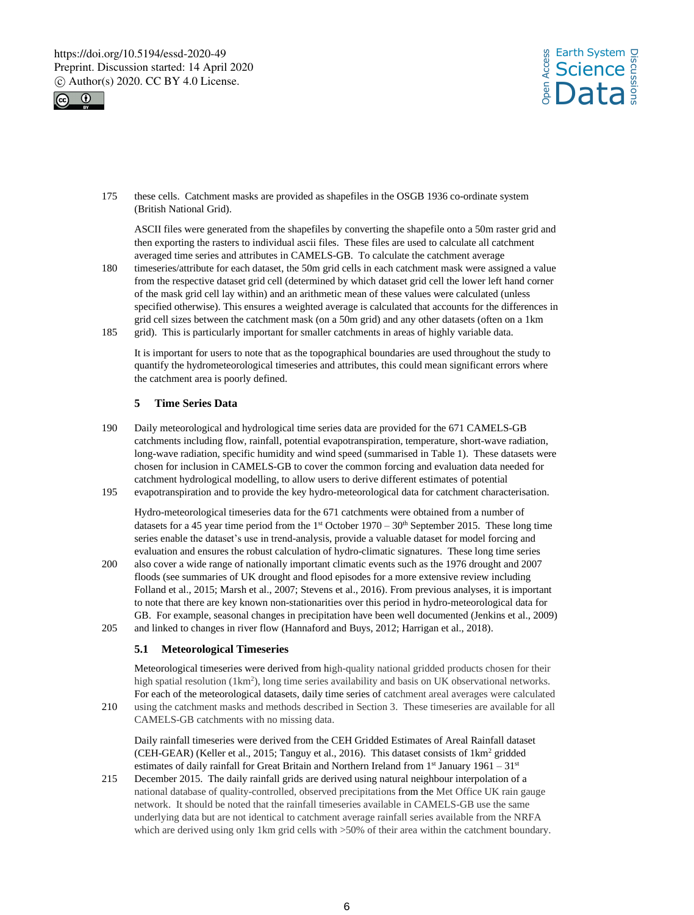



175 these cells. Catchment masks are provided as shapefiles in the OSGB 1936 co-ordinate system (British National Grid).

ASCII files were generated from the shapefiles by converting the shapefile onto a 50m raster grid and then exporting the rasters to individual ascii files. These files are used to calculate all catchment averaged time series and attributes in CAMELS-GB. To calculate the catchment average

180 timeseries/attribute for each dataset, the 50m grid cells in each catchment mask were assigned a value from the respective dataset grid cell (determined by which dataset grid cell the lower left hand corner of the mask grid cell lay within) and an arithmetic mean of these values were calculated (unless specified otherwise). This ensures a weighted average is calculated that accounts for the differences in grid cell sizes between the catchment mask (on a 50m grid) and any other datasets (often on a 1km 185 grid). This is particularly important for smaller catchments in areas of highly variable data.

It is important for users to note that as the topographical boundaries are used throughout the study to quantify the hydrometeorological timeseries and attributes, this could mean significant errors where the catchment area is poorly defined.

# **5 Time Series Data**

- 190 Daily meteorological and hydrological time series data are provided for the 671 CAMELS-GB catchments including flow, rainfall, potential evapotranspiration, temperature, short-wave radiation, long-wave radiation, specific humidity and wind speed (summarised in Table 1). These datasets were chosen for inclusion in CAMELS-GB to cover the common forcing and evaluation data needed for catchment hydrological modelling, to allow users to derive different estimates of potential
- 195 evapotranspiration and to provide the key hydro-meteorological data for catchment characterisation.

Hydro-meteorological timeseries data for the 671 catchments were obtained from a number of datasets for a 45 year time period from the  $1<sup>st</sup>$  October  $1970 - 30<sup>th</sup>$  September 2015. These long time series enable the dataset's use in trend-analysis, provide a valuable dataset for model forcing and evaluation and ensures the robust calculation of hydro-climatic signatures. These long time series

- 200 also cover a wide range of nationally important climatic events such as the 1976 drought and 2007 floods (see summaries of UK drought and flood episodes for a more extensive review including Folland et al., 2015; Marsh et al., 2007; Stevens et al., 2016). From previous analyses, it is important to note that there are key known non-stationarities over this period in hydro-meteorological data for GB. For example, seasonal changes in precipitation have been well documented (Jenkins et al., 2009)
- 205 and linked to changes in river flow (Hannaford and Buys, 2012; Harrigan et al., 2018).

## **5.1 Meteorological Timeseries**

Meteorological timeseries were derived from high-quality national gridded products chosen for their high spatial resolution (1km<sup>2</sup>), long time series availability and basis on UK observational networks. For each of the meteorological datasets, daily time series of catchment areal averages were calculated 210 using the catchment masks and methods described in Section 3. These timeseries are available for all

CAMELS-GB catchments with no missing data.

Daily rainfall timeseries were derived from the CEH Gridded Estimates of Areal Rainfall dataset (CEH-GEAR) (Keller et al., 2015; Tanguy et al., 2016). This dataset consists of 1km<sup>2</sup> gridded estimates of daily rainfall for Great Britain and Northern Ireland from 1<sup>st</sup> January 1961 - 31<sup>st</sup>

215 December 2015. The daily rainfall grids are derived using natural neighbour interpolation of a national database of quality-controlled, observed precipitations from the Met Office UK rain gauge network. It should be noted that the rainfall timeseries available in CAMELS-GB use the same underlying data but are not identical to catchment average rainfall series available from the NRFA which are derived using only 1km grid cells with >50% of their area within the catchment boundary.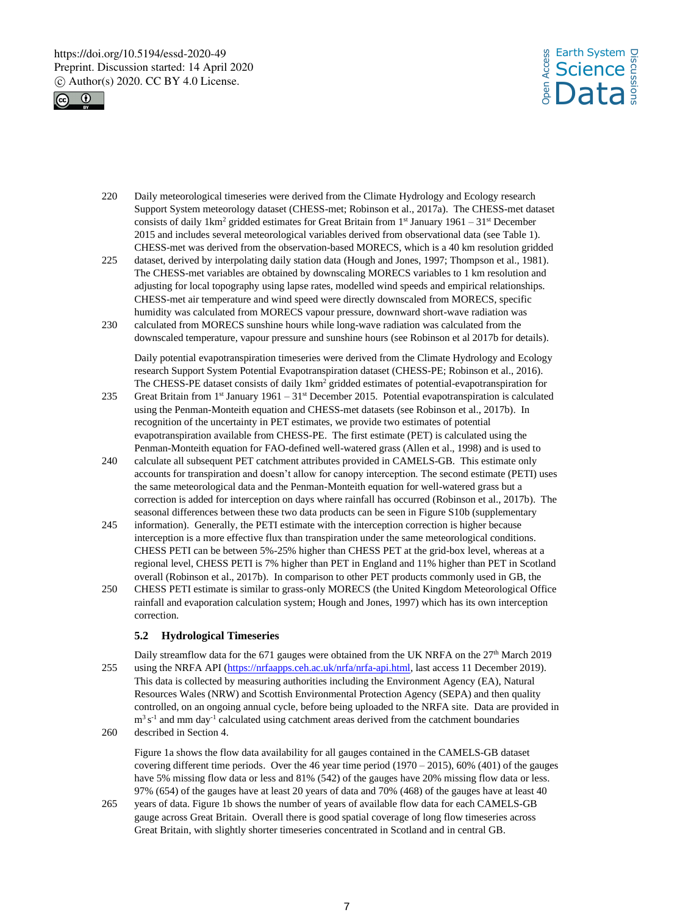



220 Daily meteorological timeseries were derived from the Climate Hydrology and Ecology research Support System meteorology dataset (CHESS-met; Robinson et al., 2017a). The CHESS-met dataset consists of daily  $1 \text{km}^2$  gridded estimates for Great Britain from  $1^{\text{st}}$  January  $1961 - 31^{\text{st}}$  December 2015 and includes several meteorological variables derived from observational data (see Table 1). CHESS-met was derived from the observation-based MORECS, which is a 40 km resolution gridded

- 225 dataset, derived by interpolating daily station data (Hough and Jones, 1997; Thompson et al., 1981). The CHESS-met variables are obtained by downscaling MORECS variables to 1 km resolution and adjusting for local topography using lapse rates, modelled wind speeds and empirical relationships. CHESS-met air temperature and wind speed were directly downscaled from MORECS, specific humidity was calculated from MORECS vapour pressure, downward short-wave radiation was
- 230 calculated from MORECS sunshine hours while long-wave radiation was calculated from the downscaled temperature, vapour pressure and sunshine hours (see Robinson et al 2017b for details).

Daily potential evapotranspiration timeseries were derived from the Climate Hydrology and Ecology research Support System Potential Evapotranspiration dataset (CHESS-PE; Robinson et al., 2016). The CHESS-PE dataset consists of daily 1km<sup>2</sup> gridded estimates of potential-evapotranspiration for

- 235 Great Britain from  $1<sup>st</sup>$  January 1961 31 $<sup>st</sup>$  December 2015. Potential evapotranspiration is calculated</sup> using the Penman-Monteith equation and CHESS-met datasets (see Robinson et al., 2017b). In recognition of the uncertainty in PET estimates, we provide two estimates of potential evapotranspiration available from CHESS-PE. The first estimate (PET) is calculated using the Penman-Monteith equation for FAO-defined well-watered grass (Allen et al., 1998) and is used to
- 240 calculate all subsequent PET catchment attributes provided in CAMELS-GB. This estimate only accounts for transpiration and doesn't allow for canopy interception. The second estimate (PETI) uses the same meteorological data and the Penman-Monteith equation for well-watered grass but a correction is added for interception on days where rainfall has occurred (Robinson et al., 2017b). The seasonal differences between these two data products can be seen in Figure S10b (supplementary
- 245 information). Generally, the PETI estimate with the interception correction is higher because interception is a more effective flux than transpiration under the same meteorological conditions. CHESS PETI can be between 5%-25% higher than CHESS PET at the grid-box level, whereas at a regional level, CHESS PETI is 7% higher than PET in England and 11% higher than PET in Scotland overall (Robinson et al., 2017b). In comparison to other PET products commonly used in GB, the
- 250 CHESS PETI estimate is similar to grass-only MORECS (the United Kingdom Meteorological Office rainfall and evaporation calculation system; Hough and Jones, 1997) which has its own interception correction.

## **5.2 Hydrological Timeseries**

Daily streamflow data for the 671 gauges were obtained from the UK NRFA on the 27<sup>th</sup> March 2019 255 using the NRFA API (https://nrfaapps.ceh.ac.uk/nrfa/nrfa-api.html, last access 11 December 2019). This data is collected by measuring authorities including the Environment Agency (EA), Natural Resources Wales (NRW) and Scottish Environmental Protection Agency (SEPA) and then quality controlled, on an ongoing annual cycle, before being uploaded to the NRFA site. Data are provided in  $m<sup>3</sup> s<sup>-1</sup>$  and mm day<sup>-1</sup> calculated using catchment areas derived from the catchment boundaries

260 described in Section 4.

Figure 1a shows the flow data availability for all gauges contained in the CAMELS-GB dataset covering different time periods. Over the 46 year time period  $(1970 - 2015)$ , 60% (401) of the gauges have 5% missing flow data or less and 81% (542) of the gauges have 20% missing flow data or less. 97% (654) of the gauges have at least 20 years of data and 70% (468) of the gauges have at least 40

265 years of data. Figure 1b shows the number of years of available flow data for each CAMELS-GB gauge across Great Britain. Overall there is good spatial coverage of long flow timeseries across Great Britain, with slightly shorter timeseries concentrated in Scotland and in central GB.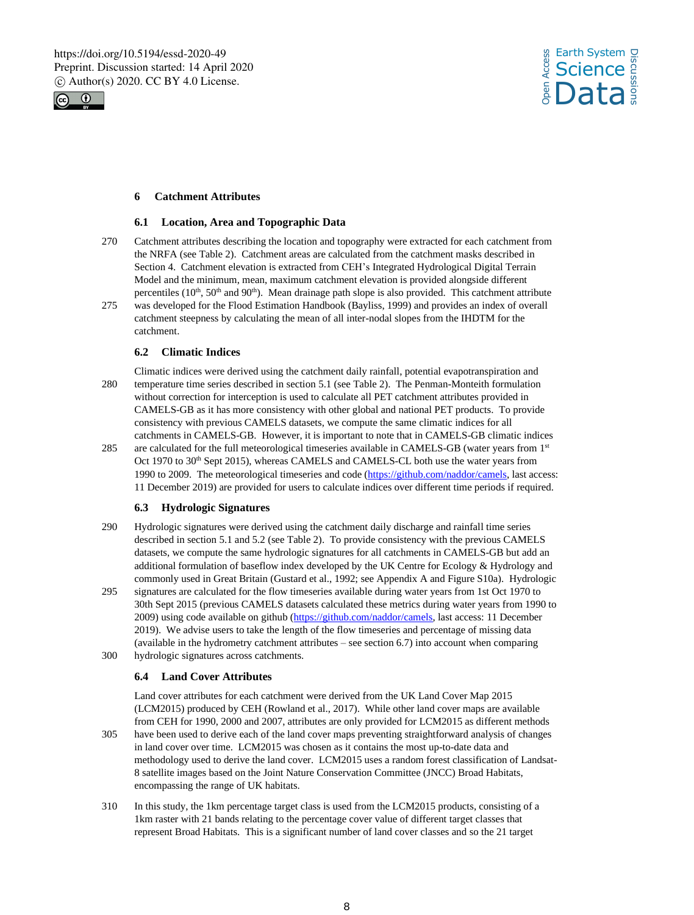



# **6 Catchment Attributes**

## **6.1 Location, Area and Topographic Data**

- 270 Catchment attributes describing the location and topography were extracted for each catchment from the NRFA (see Table 2). Catchment areas are calculated from the catchment masks described in Section 4. Catchment elevation is extracted from CEH's Integrated Hydrological Digital Terrain Model and the minimum, mean, maximum catchment elevation is provided alongside different percentiles ( $10^{th}$ ,  $50^{th}$  and  $90^{th}$ ). Mean drainage path slope is also provided. This catchment attribute
- 275 was developed for the Flood Estimation Handbook (Bayliss, 1999) and provides an index of overall catchment steepness by calculating the mean of all inter-nodal slopes from the IHDTM for the catchment.

# **6.2 Climatic Indices**

- Climatic indices were derived using the catchment daily rainfall, potential evapotranspiration and 280 temperature time series described in section 5.1 (see Table 2). The Penman-Monteith formulation without correction for interception is used to calculate all PET catchment attributes provided in CAMELS-GB as it has more consistency with other global and national PET products. To provide consistency with previous CAMELS datasets, we compute the same climatic indices for all catchments in CAMELS-GB. However, it is important to note that in CAMELS-GB climatic indices
- 285 are calculated for the full meteorological timeseries available in CAMELS-GB (water years from 1st Oct 1970 to 30<sup>th</sup> Sept 2015), whereas CAMELS and CAMELS-CL both use the water years from 1990 to 2009. The meteorological timeseries and code (https://github.com/naddor/camels, last access: 11 December 2019) are provided for users to calculate indices over different time periods if required.

## **6.3 Hydrologic Signatures**

- 290 Hydrologic signatures were derived using the catchment daily discharge and rainfall time series described in section 5.1 and 5.2 (see Table 2). To provide consistency with the previous CAMELS datasets, we compute the same hydrologic signatures for all catchments in CAMELS-GB but add an additional formulation of baseflow index developed by the UK Centre for Ecology & Hydrology and commonly used in Great Britain (Gustard et al., 1992; see Appendix A and Figure S10a). Hydrologic
- 295 signatures are calculated for the flow timeseries available during water years from 1st Oct 1970 to 30th Sept 2015 (previous CAMELS datasets calculated these metrics during water years from 1990 to 2009) using code available on github (https://github.com/naddor/camels, last access: 11 December 2019). We advise users to take the length of the flow timeseries and percentage of missing data (available in the hydrometry catchment attributes – see section 6.7) into account when comparing
- 300 hydrologic signatures across catchments.

## **6.4 Land Cover Attributes**

Land cover attributes for each catchment were derived from the UK Land Cover Map 2015 (LCM2015) produced by CEH (Rowland et al., 2017). While other land cover maps are available from CEH for 1990, 2000 and 2007, attributes are only provided for LCM2015 as different methods

- 305 have been used to derive each of the land cover maps preventing straightforward analysis of changes in land cover over time. LCM2015 was chosen as it contains the most up-to-date data and methodology used to derive the land cover. LCM2015 uses a random forest classification of Landsat-8 satellite images based on the Joint Nature Conservation Committee (JNCC) Broad Habitats, encompassing the range of UK habitats.
- 310 In this study, the 1km percentage target class is used from the LCM2015 products, consisting of a 1km raster with 21 bands relating to the percentage cover value of different target classes that represent Broad Habitats. This is a significant number of land cover classes and so the 21 target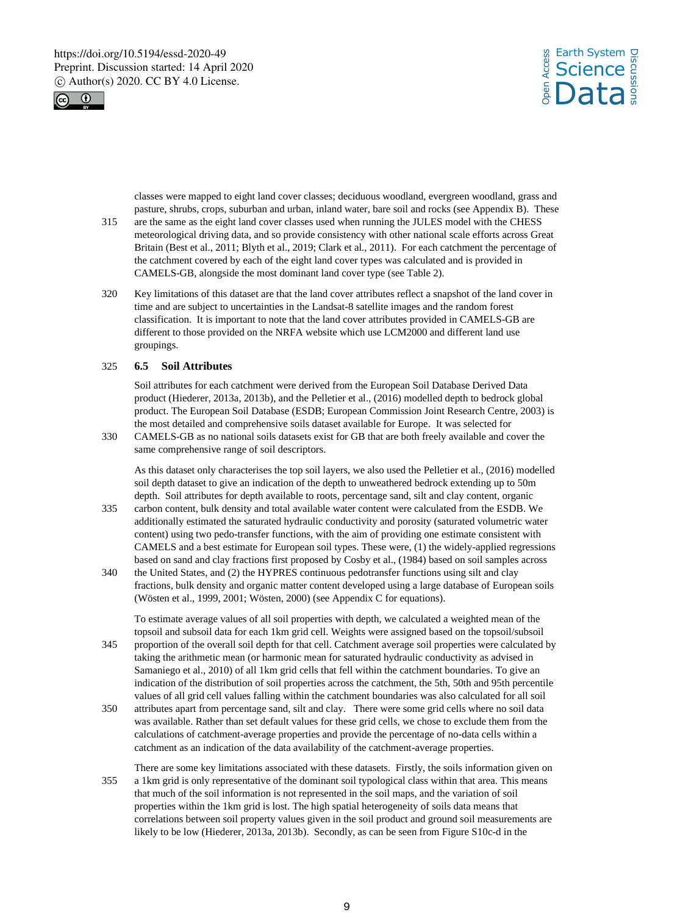



classes were mapped to eight land cover classes; deciduous woodland, evergreen woodland, grass and pasture, shrubs, crops, suburban and urban, inland water, bare soil and rocks (see Appendix B). These

- 315 are the same as the eight land cover classes used when running the JULES model with the CHESS meteorological driving data, and so provide consistency with other national scale efforts across Great Britain (Best et al., 2011; Blyth et al., 2019; Clark et al., 2011). For each catchment the percentage of the catchment covered by each of the eight land cover types was calculated and is provided in CAMELS-GB, alongside the most dominant land cover type (see Table 2).
- 320 Key limitations of this dataset are that the land cover attributes reflect a snapshot of the land cover in time and are subject to uncertainties in the Landsat-8 satellite images and the random forest classification. It is important to note that the land cover attributes provided in CAMELS-GB are different to those provided on the NRFA website which use LCM2000 and different land use groupings.

#### 325 **6.5 Soil Attributes**

Soil attributes for each catchment were derived from the European Soil Database Derived Data product (Hiederer, 2013a, 2013b), and the Pelletier et al., (2016) modelled depth to bedrock global product. The European Soil Database (ESDB; European Commission Joint Research Centre, 2003) is the most detailed and comprehensive soils dataset available for Europe. It was selected for

330 CAMELS-GB as no national soils datasets exist for GB that are both freely available and cover the same comprehensive range of soil descriptors.

As this dataset only characterises the top soil layers, we also used the Pelletier et al., (2016) modelled soil depth dataset to give an indication of the depth to unweathered bedrock extending up to 50m depth. Soil attributes for depth available to roots, percentage sand, silt and clay content, organic

- 335 carbon content, bulk density and total available water content were calculated from the ESDB. We additionally estimated the saturated hydraulic conductivity and porosity (saturated volumetric water content) using two pedo-transfer functions, with the aim of providing one estimate consistent with CAMELS and a best estimate for European soil types. These were, (1) the widely-applied regressions based on sand and clay fractions first proposed by Cosby et al., (1984) based on soil samples across
- 340 the United States, and (2) the HYPRES continuous pedotransfer functions using silt and clay fractions, bulk density and organic matter content developed using a large database of European soils (Wösten et al., 1999, 2001; Wösten, 2000) (see Appendix C for equations).

To estimate average values of all soil properties with depth, we calculated a weighted mean of the topsoil and subsoil data for each 1km grid cell. Weights were assigned based on the topsoil/subsoil

- 345 proportion of the overall soil depth for that cell. Catchment average soil properties were calculated by taking the arithmetic mean (or harmonic mean for saturated hydraulic conductivity as advised in Samaniego et al., 2010) of all 1km grid cells that fell within the catchment boundaries. To give an indication of the distribution of soil properties across the catchment, the 5th, 50th and 95th percentile values of all grid cell values falling within the catchment boundaries was also calculated for all soil
- 350 attributes apart from percentage sand, silt and clay. There were some grid cells where no soil data was available. Rather than set default values for these grid cells, we chose to exclude them from the calculations of catchment-average properties and provide the percentage of no-data cells within a catchment as an indication of the data availability of the catchment-average properties.
- There are some key limitations associated with these datasets. Firstly, the soils information given on 355 a 1km grid is only representative of the dominant soil typological class within that area. This means that much of the soil information is not represented in the soil maps, and the variation of soil properties within the 1km grid is lost. The high spatial heterogeneity of soils data means that correlations between soil property values given in the soil product and ground soil measurements are likely to be low (Hiederer, 2013a, 2013b). Secondly, as can be seen from Figure S10c-d in the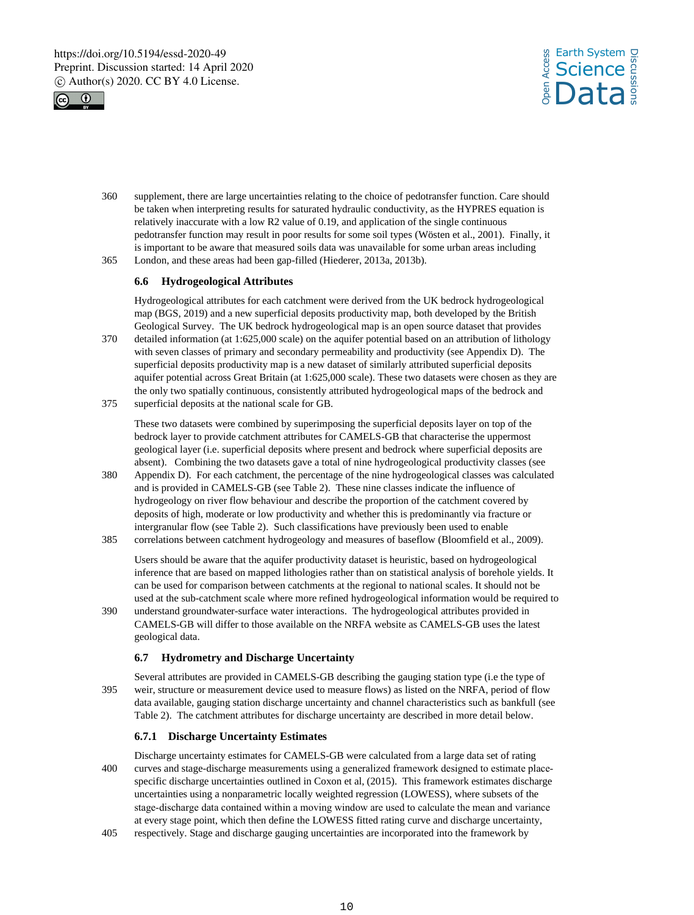



- 360 supplement, there are large uncertainties relating to the choice of pedotransfer function. Care should be taken when interpreting results for saturated hydraulic conductivity, as the HYPRES equation is relatively inaccurate with a low R2 value of 0.19, and application of the single continuous pedotransfer function may result in poor results for some soil types (Wösten et al., 2001). Finally, it is important to be aware that measured soils data was unavailable for some urban areas including
- 365 London, and these areas had been gap-filled (Hiederer, 2013a, 2013b).

# **6.6 Hydrogeological Attributes**

Hydrogeological attributes for each catchment were derived from the UK bedrock hydrogeological map (BGS, 2019) and a new superficial deposits productivity map, both developed by the British Geological Survey. The UK bedrock hydrogeological map is an open source dataset that provides

- 370 detailed information (at 1:625,000 scale) on the aquifer potential based on an attribution of lithology with seven classes of primary and secondary permeability and productivity (see Appendix D). The superficial deposits productivity map is a new dataset of similarly attributed superficial deposits aquifer potential across Great Britain (at 1:625,000 scale). These two datasets were chosen as they are the only two spatially continuous, consistently attributed hydrogeological maps of the bedrock and
- 375 superficial deposits at the national scale for GB.

These two datasets were combined by superimposing the superficial deposits layer on top of the bedrock layer to provide catchment attributes for CAMELS-GB that characterise the uppermost geological layer (i.e. superficial deposits where present and bedrock where superficial deposits are absent). Combining the two datasets gave a total of nine hydrogeological productivity classes (see

- 380 Appendix D). For each catchment, the percentage of the nine hydrogeological classes was calculated and is provided in CAMELS-GB (see Table 2). These nine classes indicate the influence of hydrogeology on river flow behaviour and describe the proportion of the catchment covered by deposits of high, moderate or low productivity and whether this is predominantly via fracture or intergranular flow (see Table 2). Such classifications have previously been used to enable 385 correlations between catchment hydrogeology and measures of baseflow (Bloomfield et al., 2009).
	- Users should be aware that the aquifer productivity dataset is heuristic, based on hydrogeological inference that are based on mapped lithologies rather than on statistical analysis of borehole yields. It can be used for comparison between catchments at the regional to national scales. It should not be used at the sub-catchment scale where more refined hydrogeological information would be required to
- 390 understand groundwater-surface water interactions. The hydrogeological attributes provided in CAMELS-GB will differ to those available on the NRFA website as CAMELS-GB uses the latest geological data.

## **6.7 Hydrometry and Discharge Uncertainty**

Several attributes are provided in CAMELS-GB describing the gauging station type (i.e the type of 395 weir, structure or measurement device used to measure flows) as listed on the NRFA, period of flow data available, gauging station discharge uncertainty and channel characteristics such as bankfull (see Table 2). The catchment attributes for discharge uncertainty are described in more detail below.

## **6.7.1 Discharge Uncertainty Estimates**

- Discharge uncertainty estimates for CAMELS-GB were calculated from a large data set of rating 400 curves and stage-discharge measurements using a generalized framework designed to estimate place‐ specific discharge uncertainties outlined in Coxon et al, (2015). This framework estimates discharge uncertainties using a nonparametric locally weighted regression (LOWESS), where subsets of the stage‐discharge data contained within a moving window are used to calculate the mean and variance at every stage point, which then define the LOWESS fitted rating curve and discharge uncertainty,
- 405 respectively. Stage and discharge gauging uncertainties are incorporated into the framework by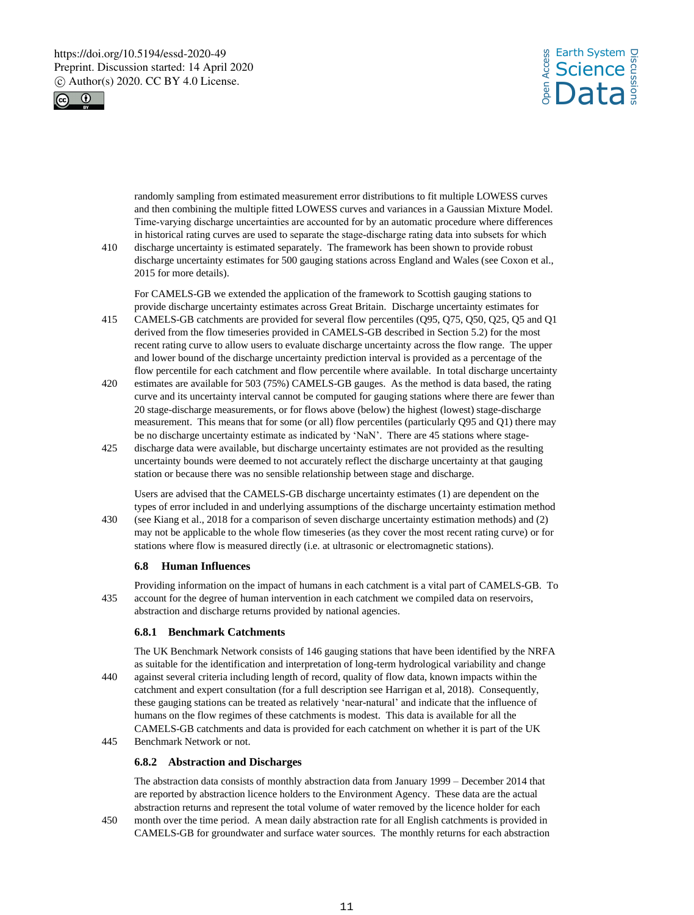



randomly sampling from estimated measurement error distributions to fit multiple LOWESS curves and then combining the multiple fitted LOWESS curves and variances in a Gaussian Mixture Model. Time‐varying discharge uncertainties are accounted for by an automatic procedure where differences in historical rating curves are used to separate the stage-discharge rating data into subsets for which

410 discharge uncertainty is estimated separately. The framework has been shown to provide robust discharge uncertainty estimates for 500 gauging stations across England and Wales (see Coxon et al., 2015 for more details).

For CAMELS-GB we extended the application of the framework to Scottish gauging stations to provide discharge uncertainty estimates across Great Britain. Discharge uncertainty estimates for

- 415 CAMELS-GB catchments are provided for several flow percentiles (Q95, Q75, Q50, Q25, Q5 and Q1 derived from the flow timeseries provided in CAMELS-GB described in Section 5.2) for the most recent rating curve to allow users to evaluate discharge uncertainty across the flow range. The upper and lower bound of the discharge uncertainty prediction interval is provided as a percentage of the flow percentile for each catchment and flow percentile where available. In total discharge uncertainty
- 420 estimates are available for 503 (75%) CAMELS-GB gauges. As the method is data based, the rating curve and its uncertainty interval cannot be computed for gauging stations where there are fewer than 20 stage-discharge measurements, or for flows above (below) the highest (lowest) stage-discharge measurement. This means that for some (or all) flow percentiles (particularly Q95 and Q1) there may be no discharge uncertainty estimate as indicated by 'NaN'. There are 45 stations where stage-
- 425 discharge data were available, but discharge uncertainty estimates are not provided as the resulting uncertainty bounds were deemed to not accurately reflect the discharge uncertainty at that gauging station or because there was no sensible relationship between stage and discharge.

Users are advised that the CAMELS-GB discharge uncertainty estimates (1) are dependent on the types of error included in and underlying assumptions of the discharge uncertainty estimation method

430 (see Kiang et al., 2018 for a comparison of seven discharge uncertainty estimation methods) and (2) may not be applicable to the whole flow timeseries (as they cover the most recent rating curve) or for stations where flow is measured directly (i.e. at ultrasonic or electromagnetic stations).

#### **6.8 Human Influences**

Providing information on the impact of humans in each catchment is a vital part of CAMELS-GB. To 435 account for the degree of human intervention in each catchment we compiled data on reservoirs, abstraction and discharge returns provided by national agencies.

#### **6.8.1 Benchmark Catchments**

The UK Benchmark Network consists of 146 gauging stations that have been identified by the NRFA as suitable for the identification and interpretation of long-term hydrological variability and change 440 against several criteria including length of record, quality of flow data, known impacts within the catchment and expert consultation (for a full description see Harrigan et al, 2018). Consequently, these gauging stations can be treated as relatively 'near-natural' and indicate that the influence of humans on the flow regimes of these catchments is modest. This data is available for all the CAMELS-GB catchments and data is provided for each catchment on whether it is part of the UK

445 Benchmark Network or not.

#### **6.8.2 Abstraction and Discharges**

The abstraction data consists of monthly abstraction data from January 1999 – December 2014 that are reported by abstraction licence holders to the Environment Agency. These data are the actual abstraction returns and represent the total volume of water removed by the licence holder for each

450 month over the time period. A mean daily abstraction rate for all English catchments is provided in CAMELS-GB for groundwater and surface water sources. The monthly returns for each abstraction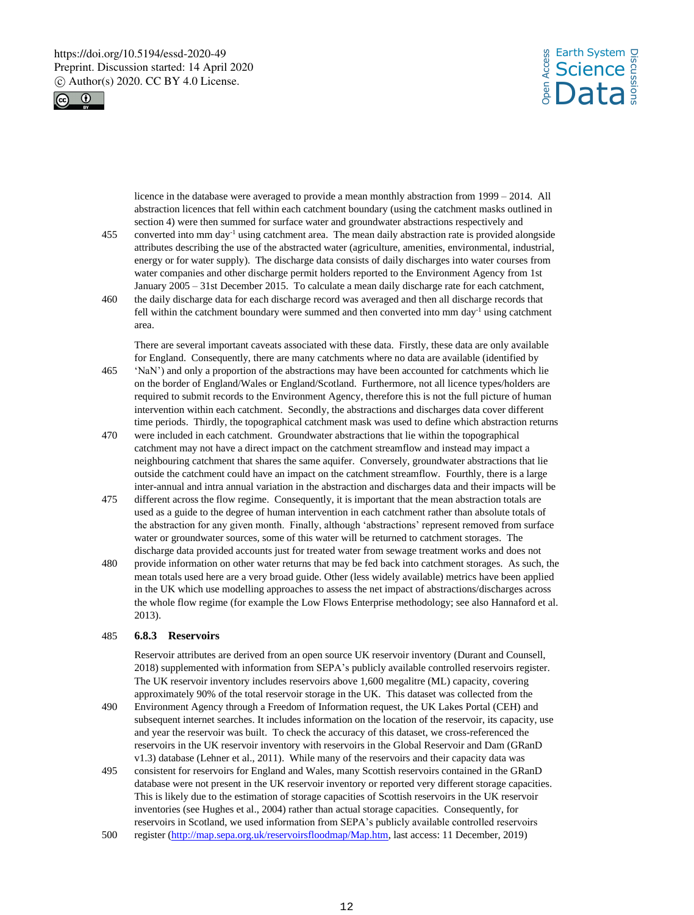



licence in the database were averaged to provide a mean monthly abstraction from 1999 – 2014. All abstraction licences that fell within each catchment boundary (using the catchment masks outlined in section 4) were then summed for surface water and groundwater abstractions respectively and

- 455 converted into mm day<sup>-1</sup> using catchment area. The mean daily abstraction rate is provided alongside attributes describing the use of the abstracted water (agriculture, amenities, environmental, industrial, energy or for water supply). The discharge data consists of daily discharges into water courses from water companies and other discharge permit holders reported to the Environment Agency from 1st January 2005 – 31st December 2015. To calculate a mean daily discharge rate for each catchment,
- 460 the daily discharge data for each discharge record was averaged and then all discharge records that fell within the catchment boundary were summed and then converted into  $mm \, day^{-1}$  using catchment area.

There are several important caveats associated with these data. Firstly, these data are only available for England. Consequently, there are many catchments where no data are available (identified by

- 465 'NaN') and only a proportion of the abstractions may have been accounted for catchments which lie on the border of England/Wales or England/Scotland. Furthermore, not all licence types/holders are required to submit records to the Environment Agency, therefore this is not the full picture of human intervention within each catchment. Secondly, the abstractions and discharges data cover different time periods. Thirdly, the topographical catchment mask was used to define which abstraction returns
- 470 were included in each catchment. Groundwater abstractions that lie within the topographical catchment may not have a direct impact on the catchment streamflow and instead may impact a neighbouring catchment that shares the same aquifer. Conversely, groundwater abstractions that lie outside the catchment could have an impact on the catchment streamflow. Fourthly, there is a large inter-annual and intra annual variation in the abstraction and discharges data and their impacts will be
- 475 different across the flow regime. Consequently, it is important that the mean abstraction totals are used as a guide to the degree of human intervention in each catchment rather than absolute totals of the abstraction for any given month. Finally, although 'abstractions' represent removed from surface water or groundwater sources, some of this water will be returned to catchment storages. The discharge data provided accounts just for treated water from sewage treatment works and does not
- 480 provide information on other water returns that may be fed back into catchment storages. As such, the mean totals used here are a very broad guide. Other (less widely available) metrics have been applied in the UK which use modelling approaches to assess the net impact of abstractions/discharges across the whole flow regime (for example the Low Flows Enterprise methodology; see also Hannaford et al. 2013).

## 485 **6.8.3 Reservoirs**

Reservoir attributes are derived from an open source UK reservoir inventory (Durant and Counsell, 2018) supplemented with information from SEPA's publicly available controlled reservoirs register. The UK reservoir inventory includes reservoirs above 1,600 megalitre (ML) capacity, covering approximately 90% of the total reservoir storage in the UK. This dataset was collected from the

- 490 Environment Agency through a Freedom of Information request, the UK Lakes Portal (CEH) and subsequent internet searches. It includes information on the location of the reservoir, its capacity, use and year the reservoir was built. To check the accuracy of this dataset, we cross-referenced the reservoirs in the UK reservoir inventory with reservoirs in the Global Reservoir and Dam (GRanD v1.3) database (Lehner et al., 2011). While many of the reservoirs and their capacity data was
- 495 consistent for reservoirs for England and Wales, many Scottish reservoirs contained in the GRanD database were not present in the UK reservoir inventory or reported very different storage capacities. This is likely due to the estimation of storage capacities of Scottish reservoirs in the UK reservoir inventories (see Hughes et al., 2004) rather than actual storage capacities. Consequently, for reservoirs in Scotland, we used information from SEPA's publicly available controlled reservoirs
- 500 register (http://map.sepa.org.uk/reservoirsfloodmap/Map.htm, last access: 11 December, 2019)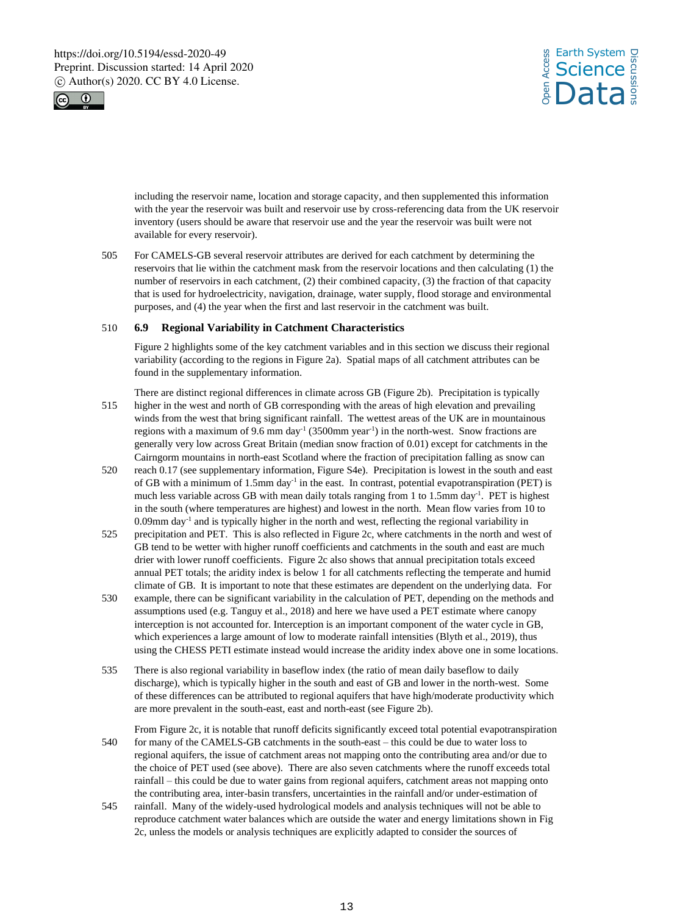



including the reservoir name, location and storage capacity, and then supplemented this information with the year the reservoir was built and reservoir use by cross-referencing data from the UK reservoir inventory (users should be aware that reservoir use and the year the reservoir was built were not available for every reservoir).

505 For CAMELS-GB several reservoir attributes are derived for each catchment by determining the reservoirs that lie within the catchment mask from the reservoir locations and then calculating (1) the number of reservoirs in each catchment, (2) their combined capacity, (3) the fraction of that capacity that is used for hydroelectricity, navigation, drainage, water supply, flood storage and environmental purposes, and (4) the year when the first and last reservoir in the catchment was built.

#### 510 **6.9 Regional Variability in Catchment Characteristics**

Figure 2 highlights some of the key catchment variables and in this section we discuss their regional variability (according to the regions in Figure 2a). Spatial maps of all catchment attributes can be found in the supplementary information.

There are distinct regional differences in climate across GB (Figure 2b). Precipitation is typically 515 higher in the west and north of GB corresponding with the areas of high elevation and prevailing winds from the west that bring significant rainfall. The wettest areas of the UK are in mountainous regions with a maximum of 9.6 mm day<sup>-1</sup> (3500mm year<sup>-1</sup>) in the north-west. Snow fractions are generally very low across Great Britain (median snow fraction of 0.01) except for catchments in the Cairngorm mountains in north-east Scotland where the fraction of precipitation falling as snow can

- 520 reach 0.17 (see supplementary information, Figure S4e). Precipitation is lowest in the south and east of GB with a minimum of  $1.5$ mm day<sup>-1</sup> in the east. In contrast, potential evapotranspiration (PET) is much less variable across GB with mean daily totals ranging from 1 to 1.5mm day<sup>-1</sup>. PET is highest in the south (where temperatures are highest) and lowest in the north. Mean flow varies from 10 to 0.09mm day-1 and is typically higher in the north and west, reflecting the regional variability in
- 525 precipitation and PET. This is also reflected in Figure 2c, where catchments in the north and west of GB tend to be wetter with higher runoff coefficients and catchments in the south and east are much drier with lower runoff coefficients. Figure 2c also shows that annual precipitation totals exceed annual PET totals; the aridity index is below 1 for all catchments reflecting the temperate and humid climate of GB. It is important to note that these estimates are dependent on the underlying data. For
- 530 example, there can be significant variability in the calculation of PET, depending on the methods and assumptions used (e.g. Tanguy et al., 2018) and here we have used a PET estimate where canopy interception is not accounted for. Interception is an important component of the water cycle in GB, which experiences a large amount of low to moderate rainfall intensities (Blyth et al., 2019), thus using the CHESS PETI estimate instead would increase the aridity index above one in some locations.
- 535 There is also regional variability in baseflow index (the ratio of mean daily baseflow to daily discharge), which is typically higher in the south and east of GB and lower in the north-west. Some of these differences can be attributed to regional aquifers that have high/moderate productivity which are more prevalent in the south-east, east and north-east (see Figure 2b).

From Figure 2c, it is notable that runoff deficits significantly exceed total potential evapotranspiration 540 for many of the CAMELS-GB catchments in the south-east – this could be due to water loss to regional aquifers, the issue of catchment areas not mapping onto the contributing area and/or due to the choice of PET used (see above). There are also seven catchments where the runoff exceeds total rainfall – this could be due to water gains from regional aquifers, catchment areas not mapping onto the contributing area, inter-basin transfers, uncertainties in the rainfall and/or under-estimation of

545 rainfall. Many of the widely-used hydrological models and analysis techniques will not be able to reproduce catchment water balances which are outside the water and energy limitations shown in Fig 2c, unless the models or analysis techniques are explicitly adapted to consider the sources of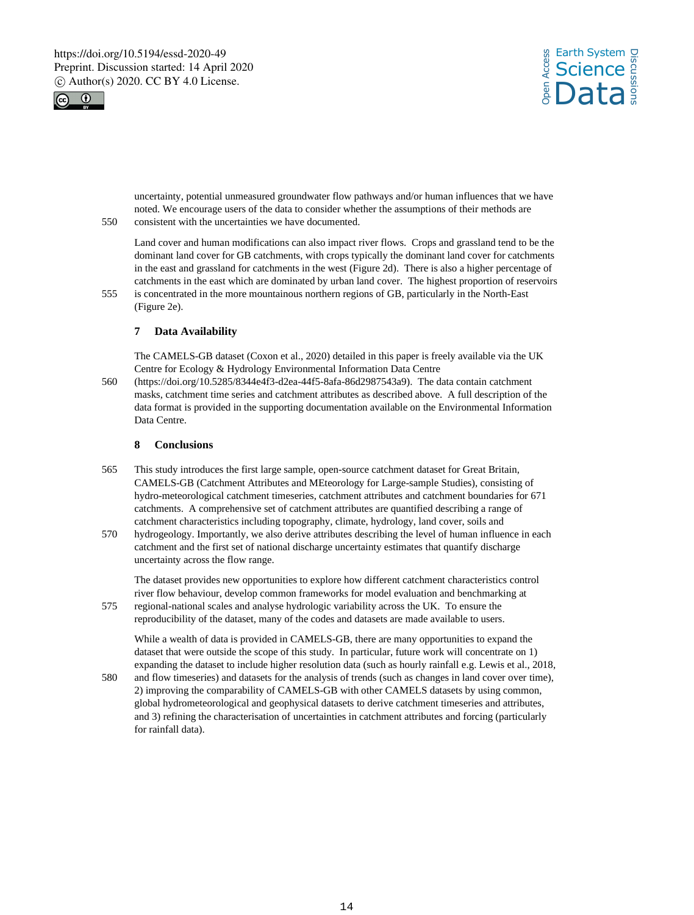



uncertainty, potential unmeasured groundwater flow pathways and/or human influences that we have noted. We encourage users of the data to consider whether the assumptions of their methods are

550 consistent with the uncertainties we have documented.

Land cover and human modifications can also impact river flows. Crops and grassland tend to be the dominant land cover for GB catchments, with crops typically the dominant land cover for catchments in the east and grassland for catchments in the west (Figure 2d). There is also a higher percentage of catchments in the east which are dominated by urban land cover. The highest proportion of reservoirs

555 is concentrated in the more mountainous northern regions of GB, particularly in the North-East (Figure 2e).

## **7 Data Availability**

The CAMELS-GB dataset (Coxon et al., 2020) detailed in this paper is freely available via the UK Centre for Ecology & Hydrology Environmental Information Data Centre

560 (https://doi.org/10.5285/8344e4f3-d2ea-44f5-8afa-86d2987543a9). The data contain catchment masks, catchment time series and catchment attributes as described above. A full description of the data format is provided in the supporting documentation available on the Environmental Information Data Centre.

## **8 Conclusions**

- 565 This study introduces the first large sample, open-source catchment dataset for Great Britain, CAMELS-GB (Catchment Attributes and MEteorology for Large-sample Studies), consisting of hydro-meteorological catchment timeseries, catchment attributes and catchment boundaries for 671 catchments. A comprehensive set of catchment attributes are quantified describing a range of catchment characteristics including topography, climate, hydrology, land cover, soils and
- 570 hydrogeology. Importantly, we also derive attributes describing the level of human influence in each catchment and the first set of national discharge uncertainty estimates that quantify discharge uncertainty across the flow range.

The dataset provides new opportunities to explore how different catchment characteristics control river flow behaviour, develop common frameworks for model evaluation and benchmarking at 575 regional-national scales and analyse hydrologic variability across the UK. To ensure the

reproducibility of the dataset, many of the codes and datasets are made available to users.

While a wealth of data is provided in CAMELS-GB, there are many opportunities to expand the dataset that were outside the scope of this study. In particular, future work will concentrate on 1) expanding the dataset to include higher resolution data (such as hourly rainfall e.g. Lewis et al., 2018,

580 and flow timeseries) and datasets for the analysis of trends (such as changes in land cover over time), 2) improving the comparability of CAMELS-GB with other CAMELS datasets by using common, global hydrometeorological and geophysical datasets to derive catchment timeseries and attributes, and 3) refining the characterisation of uncertainties in catchment attributes and forcing (particularly for rainfall data).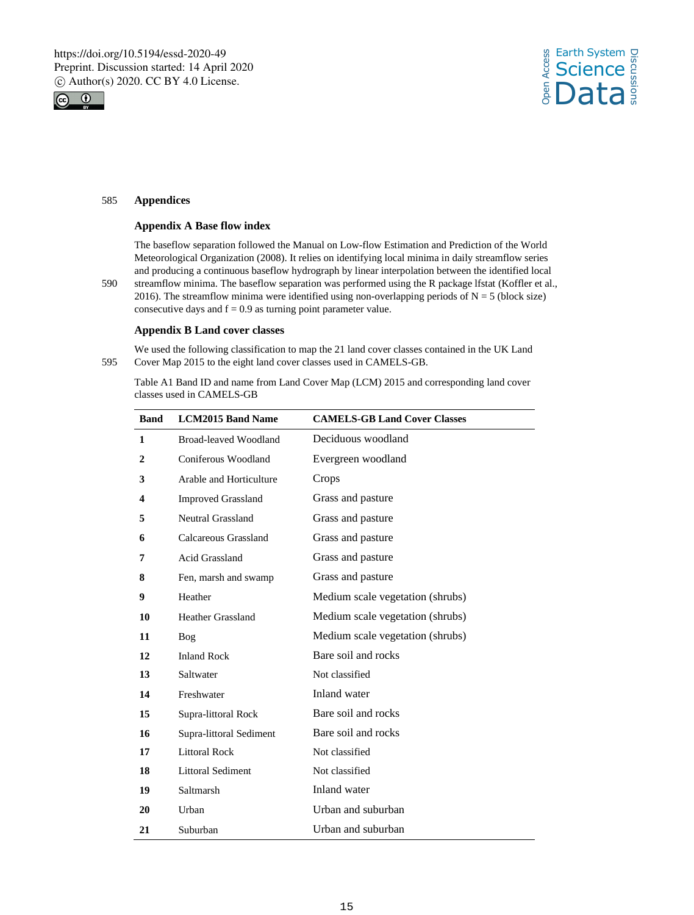



## 585 **Appendices**

## **Appendix A Base flow index**

The baseflow separation followed the Manual on Low-flow Estimation and Prediction of the World Meteorological Organization (2008). It relies on identifying local minima in daily streamflow series and producing a continuous baseflow hydrograph by linear interpolation between the identified local

590 streamflow minima. The baseflow separation was performed using the R package lfstat (Koffler et al., 2016). The streamflow minima were identified using non-overlapping periods of  $N = 5$  (block size) consecutive days and  $f = 0.9$  as turning point parameter value.

## **Appendix B Land cover classes**

We used the following classification to map the 21 land cover classes contained in the UK Land 595 Cover Map 2015 to the eight land cover classes used in CAMELS-GB.

Table A1 Band ID and name from Land Cover Map (LCM) 2015 and corresponding land cover classes used in CAMELS-GB

| <b>Band</b> | <b>LCM2015 Band Name</b>  | <b>CAMELS-GB Land Cover Classes</b> |
|-------------|---------------------------|-------------------------------------|
| 1           | Broad-leaved Woodland     | Deciduous woodland                  |
| 2           | Coniferous Woodland       | Evergreen woodland                  |
| 3           | Arable and Horticulture   | Crops                               |
| 4           | <b>Improved Grassland</b> | Grass and pasture                   |
| 5           | Neutral Grassland         | Grass and pasture                   |
| 6           | Calcareous Grassland      | Grass and pasture                   |
| 7           | <b>Acid Grassland</b>     | Grass and pasture                   |
| 8           | Fen, marsh and swamp      | Grass and pasture                   |
| 9           | Heather                   | Medium scale vegetation (shrubs)    |
| 10          | <b>Heather Grassland</b>  | Medium scale vegetation (shrubs)    |
| 11          | Bog                       | Medium scale vegetation (shrubs)    |
| 12          | <b>Inland Rock</b>        | Bare soil and rocks                 |
| 13          | Saltwater                 | Not classified                      |
| 14          | Freshwater                | Inland water                        |
| 15          | Supra-littoral Rock       | Bare soil and rocks                 |
| 16          | Supra-littoral Sediment   | Bare soil and rocks                 |
| 17          | <b>Littoral Rock</b>      | Not classified                      |
| 18          | <b>Littoral Sediment</b>  | Not classified                      |
| 19          | Saltmarsh                 | Inland water                        |
| 20          | Urban                     | Urban and suburban                  |
| 21          | Suburban                  | Urban and suburban                  |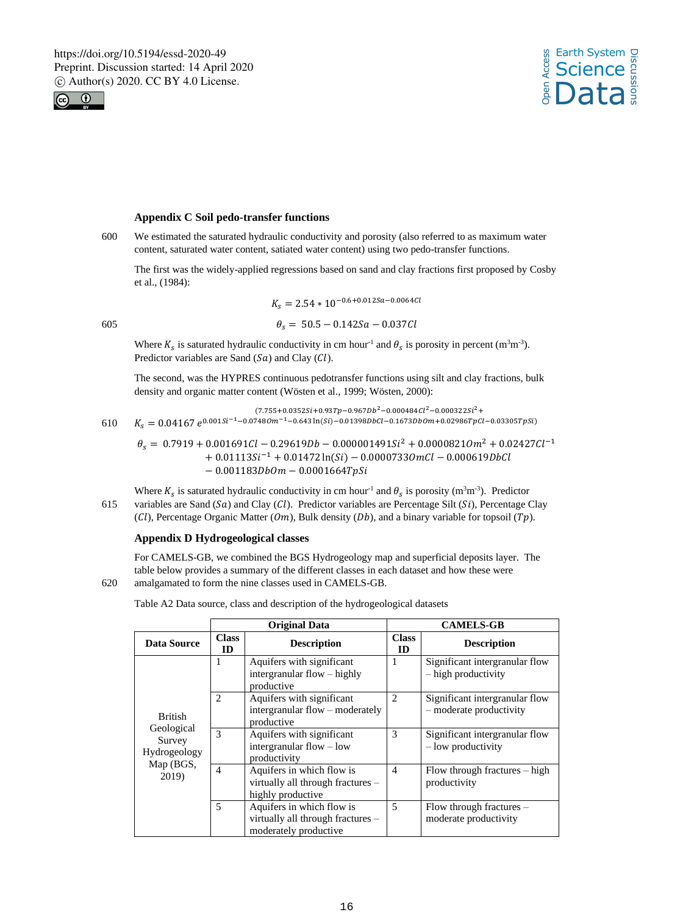



# **Appendix C Soil pedo-transfer functions**

600 We estimated the saturated hydraulic conductivity and porosity (also referred to as maximum water content, saturated water content, satiated water content) using two pedo-transfer functions.

The first was the widely-applied regressions based on sand and clay fractions first proposed by Cosby et al., (1984):

$$
K_s = 2.54 * 10^{-0.6 + 0.012Sa - 0.0064Cl}
$$

$$
\theta_s = 50.5 - 0.142Sa - 0.037Cl
$$

Where  $K_s$  is saturated hydraulic conductivity in cm hour<sup>-1</sup> and  $\theta_s$  is porosity in percent (m<sup>3</sup>m<sup>-3</sup>). Predictor variables are Sand  $(Sa)$  and Clay  $(Cl)$ .

The second, was the HYPRES continuous pedotransfer functions using silt and clay fractions, bulk density and organic matter content (Wösten et al., 1999; Wösten, 2000):

 $K_s = 0.04167 e^{0.001Si^{-1} - 0.0748Om^{-1} - 0.643\ln(Si) - 0.01398Dbcl - 0.1673Dbom + 0.02986Tpcl - 0.03305TpSi}$  $(7.755+0.0352Si+0.93Tp-0.967Db^2-0.000484Cl^2-0.000322Si^2+$ 

 $\theta_s = 0.7919 + 0.001691Cl - 0.29619Db - 0.000001491Si^2 + 0.00008210m^2 + 0.02427Cl^{-1}$  $+ 0.01113Si^{-1} + 0.01472 \ln(Si) - 0.00007330 mCl - 0.000619DbCl$  $-0.001183DbOm - 0.0001664TpSi$ 

Where  $K_s$  is saturated hydraulic conductivity in cm hour<sup>-1</sup> and  $\theta_s$  is porosity (m<sup>3</sup>m<sup>-3</sup>). Predictor 615 variables are Sand  $(Sa)$  and Clay  $(Cl)$ . Predictor variables are Percentage Silt  $(Si)$ , Percentage Clay (Cl), Percentage Organic Matter (Om), Bulk density (Db), and a binary variable for topsoil (Tp).

## **Appendix D Hydrogeological classes**

For CAMELS-GB, we combined the BGS Hydrogeology map and superficial deposits layer. The table below provides a summary of the different classes in each dataset and how these were 620 amalgamated to form the nine classes used in CAMELS-GB.

Table A2 Data source, class and description of the hydrogeological datasets

|                                                   |                           | <b>Original Data</b>                                                                    | <b>CAMELS-GB</b>   |                                                             |
|---------------------------------------------------|---------------------------|-----------------------------------------------------------------------------------------|--------------------|-------------------------------------------------------------|
| <b>Data Source</b>                                | <b>Class</b><br><b>ID</b> | <b>Description</b>                                                                      | <b>Class</b><br>ID | <b>Description</b>                                          |
|                                                   | 1                         | Aquifers with significant<br>intergranular flow – highly<br>productive                  | 1                  | Significant intergranular flow<br>- high productivity       |
| <b>British</b>                                    | 2                         | Aquifers with significant<br>intergranular flow – moderately<br>productive              | 2                  | Significant intergranular flow<br>$-$ moderate productivity |
| Geological<br>Survey<br>Hydrogeology<br>Map (BGS, | 3                         | Aquifers with significant<br>intergranular flow – low<br>productivity                   | 3                  | Significant intergranular flow<br>$-$ low productivity      |
| 2019)                                             | $\overline{4}$            | Aquifers in which flow is<br>virtually all through fractures -<br>highly productive     | $\overline{4}$     | Flow through fractures $-$ high<br>productivity             |
|                                                   | $\overline{5}$            | Aquifers in which flow is<br>virtually all through fractures -<br>moderately productive | 5                  | Flow through fractures $-$<br>moderate productivity         |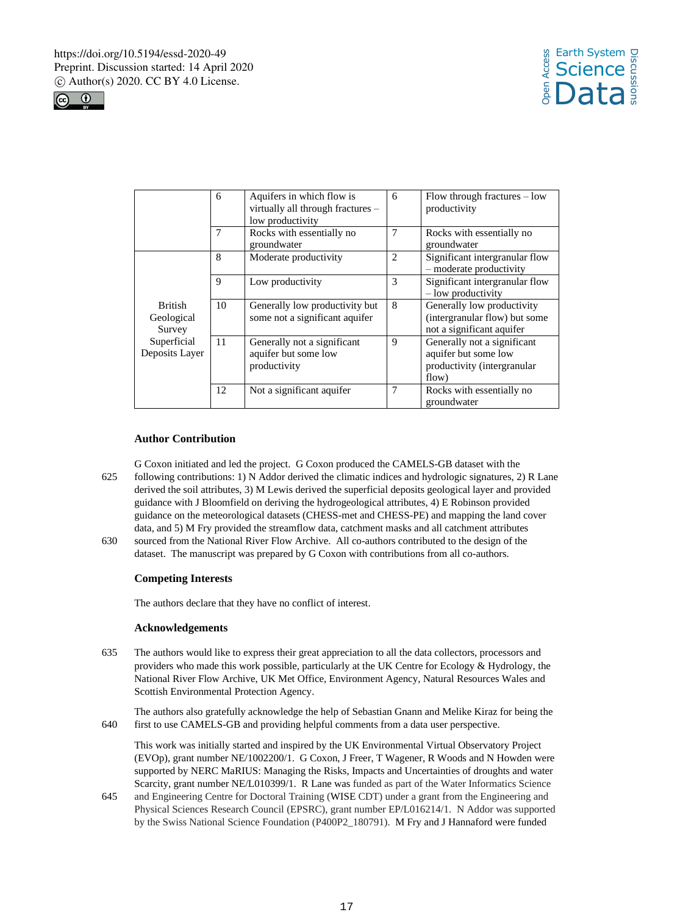



|                                        | 6           | Aquifers in which flow is<br>virtually all through fractures -<br>low productivity | 6              | Flow through fractures $-$ low<br>productivity                                              |
|----------------------------------------|-------------|------------------------------------------------------------------------------------|----------------|---------------------------------------------------------------------------------------------|
|                                        | 7           | Rocks with essentially no<br>groundwater                                           | 7              | Rocks with essentially no<br>groundwater                                                    |
|                                        | 8           | Moderate productivity                                                              | $\overline{c}$ | Significant intergranular flow<br>$-$ moderate productivity                                 |
|                                        | $\mathbf Q$ | Low productivity                                                                   | 3              | Significant intergranular flow<br>$-$ low productivity                                      |
| <b>British</b><br>Geological<br>Survey | 10          | Generally low productivity but<br>some not a significant aquifer                   | 8              | Generally low productivity<br>(intergranular flow) but some<br>not a significant aquifer    |
| Superficial<br>Deposits Laver          | 11          | Generally not a significant<br>aquifer but some low<br>productivity                | 9              | Generally not a significant<br>aquifer but some low<br>productivity (intergranular<br>flow) |
|                                        | 12          | Not a significant aquifer                                                          | 7              | Rocks with essentially no<br>groundwater                                                    |

### **Author Contribution**

G Coxon initiated and led the project. G Coxon produced the CAMELS-GB dataset with the 625 following contributions: 1) N Addor derived the climatic indices and hydrologic signatures, 2) R Lane derived the soil attributes, 3) M Lewis derived the superficial deposits geological layer and provided guidance with J Bloomfield on deriving the hydrogeological attributes, 4) E Robinson provided guidance on the meteorological datasets (CHESS-met and CHESS-PE) and mapping the land cover data, and 5) M Fry provided the streamflow data, catchment masks and all catchment attributes

630 sourced from the National River Flow Archive. All co-authors contributed to the design of the dataset. The manuscript was prepared by G Coxon with contributions from all co-authors.

### **Competing Interests**

The authors declare that they have no conflict of interest.

#### **Acknowledgements**

635 The authors would like to express their great appreciation to all the data collectors, processors and providers who made this work possible, particularly at the UK Centre for Ecology & Hydrology, the National River Flow Archive, UK Met Office, Environment Agency, Natural Resources Wales and Scottish Environmental Protection Agency.

The authors also gratefully acknowledge the help of Sebastian Gnann and Melike Kiraz for being the 640 first to use CAMELS-GB and providing helpful comments from a data user perspective.

This work was initially started and inspired by the UK Environmental Virtual Observatory Project (EVOp), grant number NE/1002200/1. G Coxon, J Freer, T Wagener, R Woods and N Howden were supported by NERC MaRIUS: Managing the Risks, Impacts and Uncertainties of droughts and water Scarcity, grant number NE/L010399/1. R Lane was funded as part of the Water Informatics Science

645 and Engineering Centre for Doctoral Training (WISE CDT) under a grant from the Engineering and Physical Sciences Research Council (EPSRC), grant number EP/L016214/1. N Addor was supported by the Swiss National Science Foundation (P400P2\_180791). M Fry and J Hannaford were funded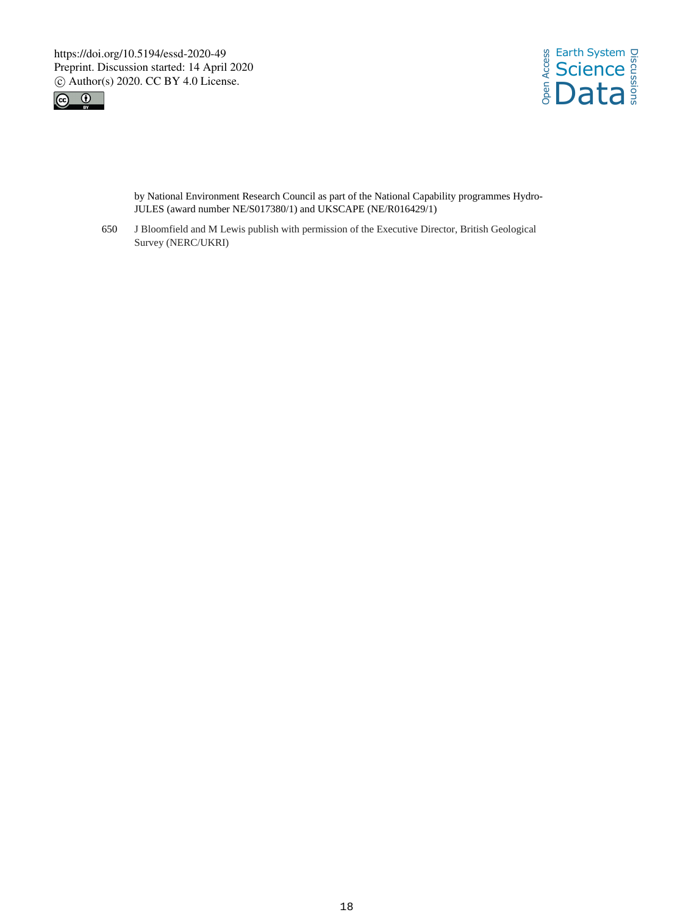



by National Environment Research Council as part of the National Capability programmes Hydro-JULES (award number NE/S017380/1) and UKSCAPE (NE/R016429/1)

650 J Bloomfield and M Lewis publish with permission of the Executive Director, British Geological Survey (NERC/UKRI)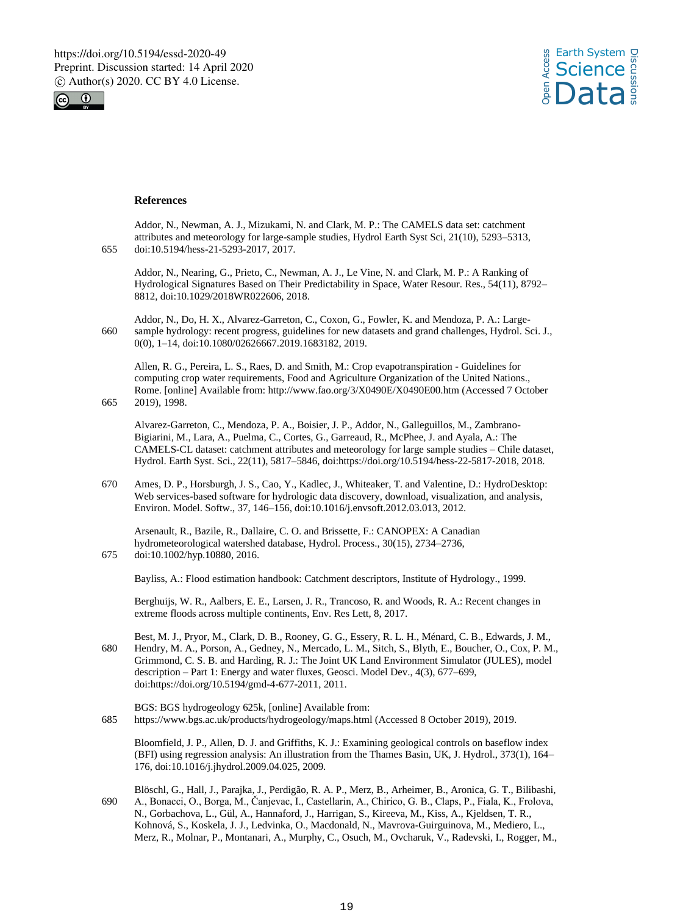



#### **References**

|     | Addor, N., Newman, A. J., Mizukami, N. and Clark, M. P.: The CAMELS data set: catchment        |
|-----|------------------------------------------------------------------------------------------------|
|     | attributes and meteorology for large-sample studies, Hydrol Earth Syst Sci, 21(10), 5293–5313, |
| 655 | doi:10.5194/hess-21-5293-2017. 2017.                                                           |
|     |                                                                                                |

Addor, N., Nearing, G., Prieto, C., Newman, A. J., Le Vine, N. and Clark, M. P.: A Ranking of Hydrological Signatures Based on Their Predictability in Space, Water Resour. Res., 54(11), 8792– 8812, doi:10.1029/2018WR022606, 2018.

Addor, N., Do, H. X., Alvarez-Garreton, C., Coxon, G., Fowler, K. and Mendoza, P. A.: Large-660 sample hydrology: recent progress, guidelines for new datasets and grand challenges, Hydrol. Sci. J., 0(0), 1–14, doi:10.1080/02626667.2019.1683182, 2019.

Allen, R. G., Pereira, L. S., Raes, D. and Smith, M.: Crop evapotranspiration - Guidelines for computing crop water requirements, Food and Agriculture Organization of the United Nations., Rome. [online] Available from: http://www.fao.org/3/X0490E/X0490E00.htm (Accessed 7 October 665 2019), 1998.

Alvarez-Garreton, C., Mendoza, P. A., Boisier, J. P., Addor, N., Galleguillos, M., Zambrano-Bigiarini, M., Lara, A., Puelma, C., Cortes, G., Garreaud, R., McPhee, J. and Ayala, A.: The CAMELS-CL dataset: catchment attributes and meteorology for large sample studies – Chile dataset, Hydrol. Earth Syst. Sci., 22(11), 5817–5846, doi:https://doi.org/10.5194/hess-22-5817-2018, 2018.

670 Ames, D. P., Horsburgh, J. S., Cao, Y., Kadlec, J., Whiteaker, T. and Valentine, D.: HydroDesktop: Web services-based software for hydrologic data discovery, download, visualization, and analysis, Environ. Model. Softw., 37, 146–156, doi:10.1016/j.envsoft.2012.03.013, 2012.

Arsenault, R., Bazile, R., Dallaire, C. O. and Brissette, F.: CANOPEX: A Canadian hydrometeorological watershed database, Hydrol. Process., 30(15), 2734–2736, 675 doi:10.1002/hyp.10880, 2016.

Bayliss, A.: Flood estimation handbook: Catchment descriptors, Institute of Hydrology., 1999.

Berghuijs, W. R., Aalbers, E. E., Larsen, J. R., Trancoso, R. and Woods, R. A.: Recent changes in extreme floods across multiple continents, Env. Res Lett, 8, 2017.

- Best, M. J., Pryor, M., Clark, D. B., Rooney, G. G., Essery, R. L. H., Ménard, C. B., Edwards, J. M., 680 Hendry, M. A., Porson, A., Gedney, N., Mercado, L. M., Sitch, S., Blyth, E., Boucher, O., Cox, P. M., Grimmond, C. S. B. and Harding, R. J.: The Joint UK Land Environment Simulator (JULES), model description – Part 1: Energy and water fluxes, Geosci. Model Dev., 4(3), 677–699, doi:https://doi.org/10.5194/gmd-4-677-2011, 2011.
- BGS: BGS hydrogeology 625k, [online] Available from: 685 https://www.bgs.ac.uk/products/hydrogeology/maps.html (Accessed 8 October 2019), 2019.

Bloomfield, J. P., Allen, D. J. and Griffiths, K. J.: Examining geological controls on baseflow index (BFI) using regression analysis: An illustration from the Thames Basin, UK, J. Hydrol., 373(1), 164– 176, doi:10.1016/j.jhydrol.2009.04.025, 2009.

Blöschl, G., Hall, J., Parajka, J., Perdigão, R. A. P., Merz, B., Arheimer, B., Aronica, G. T., Bilibashi, 690 A., Bonacci, O., Borga, M., Čanjevac, I., Castellarin, A., Chirico, G. B., Claps, P., Fiala, K., Frolova, N., Gorbachova, L., Gül, A., Hannaford, J., Harrigan, S., Kireeva, M., Kiss, A., Kjeldsen, T. R., Kohnová, S., Koskela, J. J., Ledvinka, O., Macdonald, N., Mavrova-Guirguinova, M., Mediero, L., Merz, R., Molnar, P., Montanari, A., Murphy, C., Osuch, M., Ovcharuk, V., Radevski, I., Rogger, M.,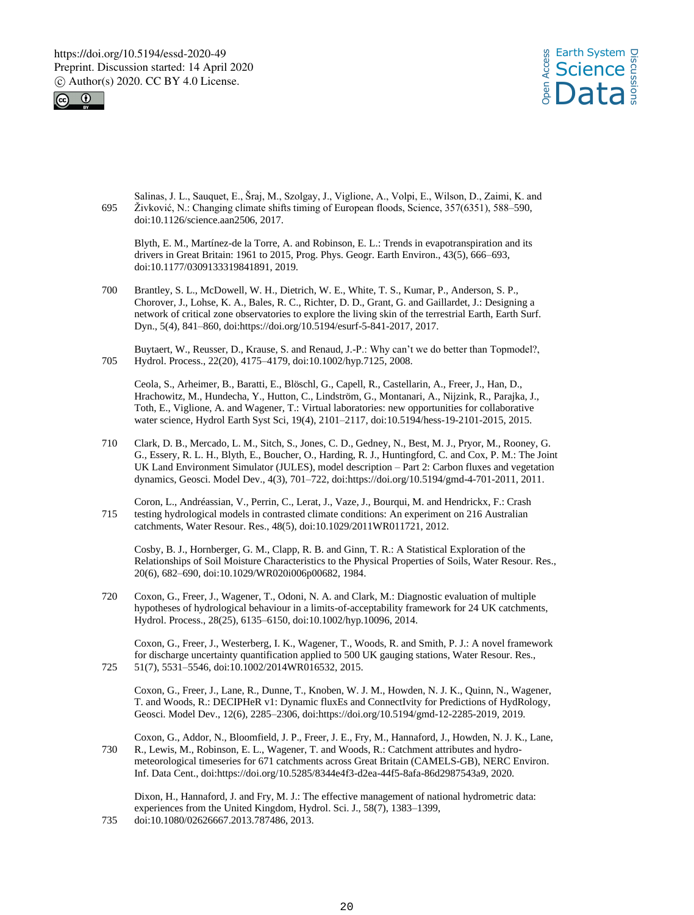



Salinas, J. L., Sauquet, E., Šraj, M., Szolgay, J., Viglione, A., Volpi, E., Wilson, D., Zaimi, K. and 695 Živković, N.: Changing climate shifts timing of European floods, Science, 357(6351), 588–590, doi:10.1126/science.aan2506, 2017.

Blyth, E. M., Martínez-de la Torre, A. and Robinson, E. L.: Trends in evapotranspiration and its drivers in Great Britain: 1961 to 2015, Prog. Phys. Geogr. Earth Environ., 43(5), 666–693, doi:10.1177/0309133319841891, 2019.

700 Brantley, S. L., McDowell, W. H., Dietrich, W. E., White, T. S., Kumar, P., Anderson, S. P., Chorover, J., Lohse, K. A., Bales, R. C., Richter, D. D., Grant, G. and Gaillardet, J.: Designing a network of critical zone observatories to explore the living skin of the terrestrial Earth, Earth Surf. Dyn., 5(4), 841–860, doi:https://doi.org/10.5194/esurf-5-841-2017, 2017.

Buytaert, W., Reusser, D., Krause, S. and Renaud, J.-P.: Why can't we do better than Topmodel?, 705 Hydrol. Process., 22(20), 4175–4179, doi:10.1002/hyp.7125, 2008.

Ceola, S., Arheimer, B., Baratti, E., Blöschl, G., Capell, R., Castellarin, A., Freer, J., Han, D., Hrachowitz, M., Hundecha, Y., Hutton, C., Lindström, G., Montanari, A., Nijzink, R., Parajka, J., Toth, E., Viglione, A. and Wagener, T.: Virtual laboratories: new opportunities for collaborative water science, Hydrol Earth Syst Sci, 19(4), 2101–2117, doi:10.5194/hess-19-2101-2015, 2015.

- 710 Clark, D. B., Mercado, L. M., Sitch, S., Jones, C. D., Gedney, N., Best, M. J., Pryor, M., Rooney, G. G., Essery, R. L. H., Blyth, E., Boucher, O., Harding, R. J., Huntingford, C. and Cox, P. M.: The Joint UK Land Environment Simulator (JULES), model description – Part 2: Carbon fluxes and vegetation dynamics, Geosci. Model Dev., 4(3), 701–722, doi:https://doi.org/10.5194/gmd-4-701-2011, 2011.
- Coron, L., Andréassian, V., Perrin, C., Lerat, J., Vaze, J., Bourqui, M. and Hendrickx, F.: Crash 715 testing hydrological models in contrasted climate conditions: An experiment on 216 Australian catchments, Water Resour. Res., 48(5), doi:10.1029/2011WR011721, 2012.

Cosby, B. J., Hornberger, G. M., Clapp, R. B. and Ginn, T. R.: A Statistical Exploration of the Relationships of Soil Moisture Characteristics to the Physical Properties of Soils, Water Resour. Res., 20(6), 682–690, doi:10.1029/WR020i006p00682, 1984.

720 Coxon, G., Freer, J., Wagener, T., Odoni, N. A. and Clark, M.: Diagnostic evaluation of multiple hypotheses of hydrological behaviour in a limits-of-acceptability framework for 24 UK catchments, Hydrol. Process., 28(25), 6135–6150, doi:10.1002/hyp.10096, 2014.

Coxon, G., Freer, J., Westerberg, I. K., Wagener, T., Woods, R. and Smith, P. J.: A novel framework for discharge uncertainty quantification applied to 500 UK gauging stations, Water Resour. Res., 725 51(7), 5531–5546, doi:10.1002/2014WR016532, 2015.

Coxon, G., Freer, J., Lane, R., Dunne, T., Knoben, W. J. M., Howden, N. J. K., Quinn, N., Wagener, T. and Woods, R.: DECIPHeR v1: Dynamic fluxEs and ConnectIvity for Predictions of HydRology, Geosci. Model Dev., 12(6), 2285–2306, doi:https://doi.org/10.5194/gmd-12-2285-2019, 2019.

Coxon, G., Addor, N., Bloomfield, J. P., Freer, J. E., Fry, M., Hannaford, J., Howden, N. J. K., Lane, 730 R., Lewis, M., Robinson, E. L., Wagener, T. and Woods, R.: Catchment attributes and hydrometeorological timeseries for 671 catchments across Great Britain (CAMELS-GB), NERC Environ. Inf. Data Cent., doi:https://doi.org/10.5285/8344e4f3-d2ea-44f5-8afa-86d2987543a9, 2020.

Dixon, H., Hannaford, J. and Fry, M. J.: The effective management of national hydrometric data: experiences from the United Kingdom, Hydrol. Sci. J., 58(7), 1383–1399, 735 doi:10.1080/02626667.2013.787486, 2013.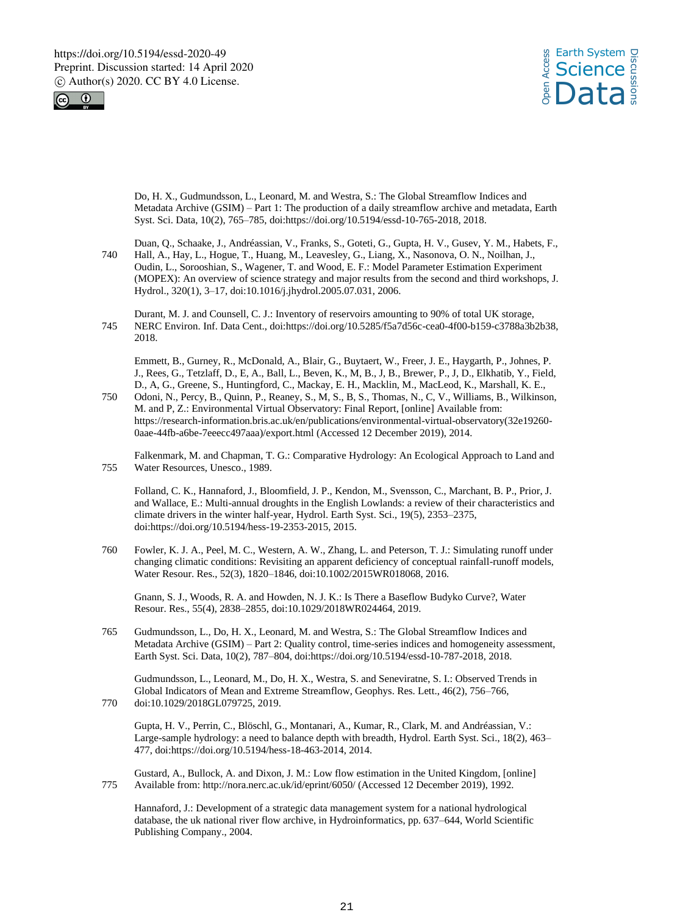



Do, H. X., Gudmundsson, L., Leonard, M. and Westra, S.: The Global Streamflow Indices and Metadata Archive (GSIM) – Part 1: The production of a daily streamflow archive and metadata, Earth Syst. Sci. Data, 10(2), 765–785, doi:https://doi.org/10.5194/essd-10-765-2018, 2018.

Duan, Q., Schaake, J., Andréassian, V., Franks, S., Goteti, G., Gupta, H. V., Gusev, Y. M., Habets, F., 740 Hall, A., Hay, L., Hogue, T., Huang, M., Leavesley, G., Liang, X., Nasonova, O. N., Noilhan, J., Oudin, L., Sorooshian, S., Wagener, T. and Wood, E. F.: Model Parameter Estimation Experiment (MOPEX): An overview of science strategy and major results from the second and third workshops, J. Hydrol., 320(1), 3–17, doi:10.1016/j.jhydrol.2005.07.031, 2006.

Durant, M. J. and Counsell, C. J.: Inventory of reservoirs amounting to 90% of total UK storage, 745 NERC Environ. Inf. Data Cent., doi:https://doi.org/10.5285/f5a7d56c-cea0-4f00-b159-c3788a3b2b38, 2018.

Emmett, B., Gurney, R., McDonald, A., Blair, G., Buytaert, W., Freer, J. E., Haygarth, P., Johnes, P. J., Rees, G., Tetzlaff, D., E, A., Ball, L., Beven, K., M, B., J, B., Brewer, P., J, D., Elkhatib, Y., Field, D., A, G., Greene, S., Huntingford, C., Mackay, E. H., Macklin, M., MacLeod, K., Marshall, K. E.,

750 Odoni, N., Percy, B., Quinn, P., Reaney, S., M, S., B, S., Thomas, N., C, V., Williams, B., Wilkinson, M. and P, Z.: Environmental Virtual Observatory: Final Report, [online] Available from: https://research-information.bris.ac.uk/en/publications/environmental-virtual-observatory(32e19260- 0aae-44fb-a6be-7eeecc497aaa)/export.html (Accessed 12 December 2019), 2014.

Falkenmark, M. and Chapman, T. G.: Comparative Hydrology: An Ecological Approach to Land and 755 Water Resources, Unesco., 1989.

Folland, C. K., Hannaford, J., Bloomfield, J. P., Kendon, M., Svensson, C., Marchant, B. P., Prior, J. and Wallace, E.: Multi-annual droughts in the English Lowlands: a review of their characteristics and climate drivers in the winter half-year, Hydrol. Earth Syst. Sci., 19(5), 2353–2375, doi:https://doi.org/10.5194/hess-19-2353-2015, 2015.

760 Fowler, K. J. A., Peel, M. C., Western, A. W., Zhang, L. and Peterson, T. J.: Simulating runoff under changing climatic conditions: Revisiting an apparent deficiency of conceptual rainfall-runoff models, Water Resour. Res., 52(3), 1820–1846, doi:10.1002/2015WR018068, 2016.

Gnann, S. J., Woods, R. A. and Howden, N. J. K.: Is There a Baseflow Budyko Curve?, Water Resour. Res., 55(4), 2838–2855, doi:10.1029/2018WR024464, 2019.

765 Gudmundsson, L., Do, H. X., Leonard, M. and Westra, S.: The Global Streamflow Indices and Metadata Archive (GSIM) – Part 2: Quality control, time-series indices and homogeneity assessment, Earth Syst. Sci. Data, 10(2), 787–804, doi:https://doi.org/10.5194/essd-10-787-2018, 2018.

Gudmundsson, L., Leonard, M., Do, H. X., Westra, S. and Seneviratne, S. I.: Observed Trends in Global Indicators of Mean and Extreme Streamflow, Geophys. Res. Lett., 46(2), 756–766, 770 doi:10.1029/2018GL079725, 2019.

Gupta, H. V., Perrin, C., Blöschl, G., Montanari, A., Kumar, R., Clark, M. and Andréassian, V.: Large-sample hydrology: a need to balance depth with breadth, Hydrol. Earth Syst. Sci., 18(2), 463– 477, doi:https://doi.org/10.5194/hess-18-463-2014, 2014.

Gustard, A., Bullock, A. and Dixon, J. M.: Low flow estimation in the United Kingdom, [online] 775 Available from: http://nora.nerc.ac.uk/id/eprint/6050/ (Accessed 12 December 2019), 1992.

Hannaford, J.: Development of a strategic data management system for a national hydrological database, the uk national river flow archive, in Hydroinformatics, pp. 637–644, World Scientific Publishing Company., 2004.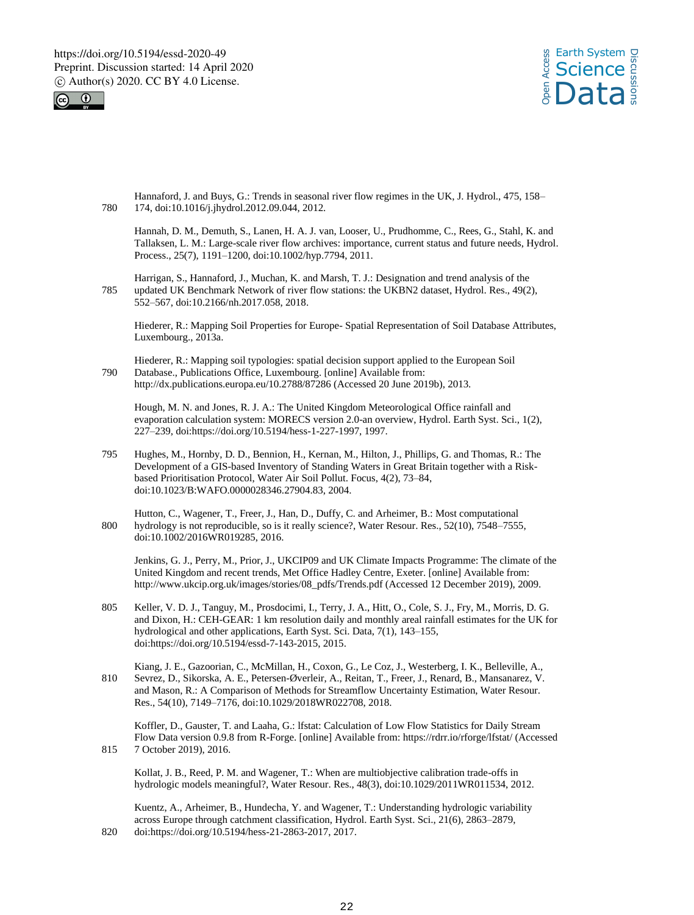



Hannaford, J. and Buys, G.: Trends in seasonal river flow regimes in the UK, J. Hydrol., 475, 158– 780 174, doi:10.1016/j.jhydrol.2012.09.044, 2012.

Hannah, D. M., Demuth, S., Lanen, H. A. J. van, Looser, U., Prudhomme, C., Rees, G., Stahl, K. and Tallaksen, L. M.: Large-scale river flow archives: importance, current status and future needs, Hydrol. Process., 25(7), 1191–1200, doi:10.1002/hyp.7794, 2011.

Harrigan, S., Hannaford, J., Muchan, K. and Marsh, T. J.: Designation and trend analysis of the 785 updated UK Benchmark Network of river flow stations: the UKBN2 dataset, Hydrol. Res., 49(2), 552–567, doi:10.2166/nh.2017.058, 2018.

Hiederer, R.: Mapping Soil Properties for Europe- Spatial Representation of Soil Database Attributes, Luxembourg., 2013a.

Hiederer, R.: Mapping soil typologies: spatial decision support applied to the European Soil 790 Database., Publications Office, Luxembourg. [online] Available from: http://dx.publications.europa.eu/10.2788/87286 (Accessed 20 June 2019b), 2013.

Hough, M. N. and Jones, R. J. A.: The United Kingdom Meteorological Office rainfall and evaporation calculation system: MORECS version 2.0-an overview, Hydrol. Earth Syst. Sci., 1(2), 227–239, doi:https://doi.org/10.5194/hess-1-227-1997, 1997.

- 795 Hughes, M., Hornby, D. D., Bennion, H., Kernan, M., Hilton, J., Phillips, G. and Thomas, R.: The Development of a GIS-based Inventory of Standing Waters in Great Britain together with a Riskbased Prioritisation Protocol, Water Air Soil Pollut. Focus, 4(2), 73–84, doi:10.1023/B:WAFO.0000028346.27904.83, 2004.
- Hutton, C., Wagener, T., Freer, J., Han, D., Duffy, C. and Arheimer, B.: Most computational 800 hydrology is not reproducible, so is it really science?, Water Resour. Res., 52(10), 7548-7555, doi:10.1002/2016WR019285, 2016.

Jenkins, G. J., Perry, M., Prior, J., UKCIP09 and UK Climate Impacts Programme: The climate of the United Kingdom and recent trends, Met Office Hadley Centre, Exeter. [online] Available from: http://www.ukcip.org.uk/images/stories/08\_pdfs/Trends.pdf (Accessed 12 December 2019), 2009.

- 805 Keller, V. D. J., Tanguy, M., Prosdocimi, I., Terry, J. A., Hitt, O., Cole, S. J., Fry, M., Morris, D. G. and Dixon, H.: CEH-GEAR: 1 km resolution daily and monthly areal rainfall estimates for the UK for hydrological and other applications, Earth Syst. Sci. Data, 7(1), 143–155, doi:https://doi.org/10.5194/essd-7-143-2015, 2015.
- Kiang, J. E., Gazoorian, C., McMillan, H., Coxon, G., Le Coz, J., Westerberg, I. K., Belleville, A., 810 Sevrez, D., Sikorska, A. E., Petersen-Øverleir, A., Reitan, T., Freer, J., Renard, B., Mansanarez, V. and Mason, R.: A Comparison of Methods for Streamflow Uncertainty Estimation, Water Resour. Res., 54(10), 7149–7176, doi:10.1029/2018WR022708, 2018.

Koffler, D., Gauster, T. and Laaha, G.: lfstat: Calculation of Low Flow Statistics for Daily Stream Flow Data version 0.9.8 from R-Forge. [online] Available from: https://rdrr.io/rforge/lfstat/ (Accessed 815 7 October 2019), 2016.

Kollat, J. B., Reed, P. M. and Wagener, T.: When are multiobjective calibration trade-offs in hydrologic models meaningful?, Water Resour. Res., 48(3), doi:10.1029/2011WR011534, 2012.

Kuentz, A., Arheimer, B., Hundecha, Y. and Wagener, T.: Understanding hydrologic variability across Europe through catchment classification, Hydrol. Earth Syst. Sci., 21(6), 2863–2879, 820 doi:https://doi.org/10.5194/hess-21-2863-2017, 2017.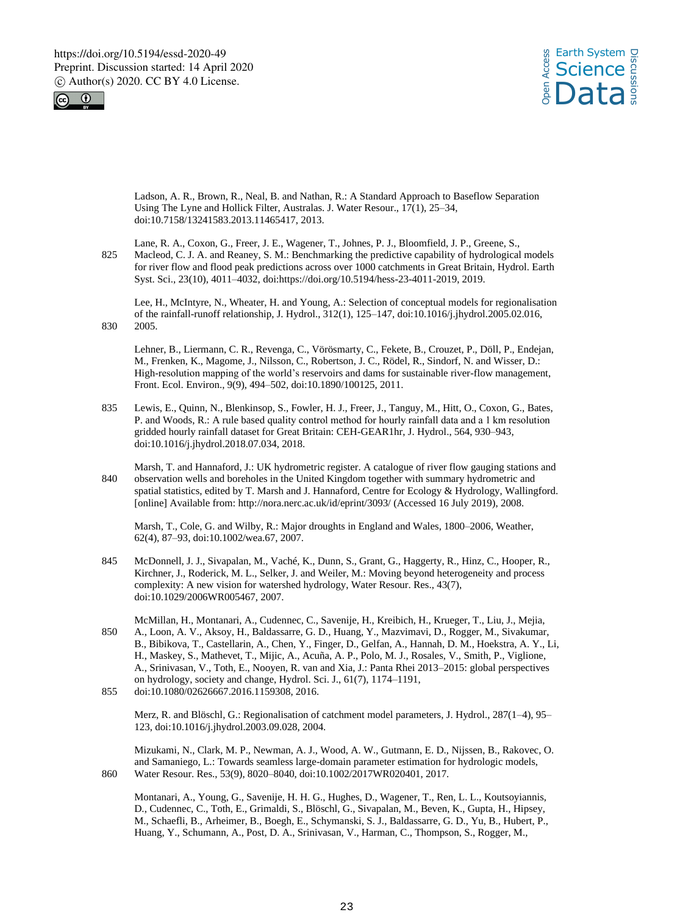



Ladson, A. R., Brown, R., Neal, B. and Nathan, R.: A Standard Approach to Baseflow Separation Using The Lyne and Hollick Filter, Australas. J. Water Resour., 17(1), 25–34, doi:10.7158/13241583.2013.11465417, 2013.

Lane, R. A., Coxon, G., Freer, J. E., Wagener, T., Johnes, P. J., Bloomfield, J. P., Greene, S., 825 Macleod, C. J. A. and Reaney, S. M.: Benchmarking the predictive capability of hydrological models for river flow and flood peak predictions across over 1000 catchments in Great Britain, Hydrol. Earth Syst. Sci., 23(10), 4011–4032, doi:https://doi.org/10.5194/hess-23-4011-2019, 2019.

Lee, H., McIntyre, N., Wheater, H. and Young, A.: Selection of conceptual models for regionalisation of the rainfall-runoff relationship, J. Hydrol., 312(1), 125–147, doi:10.1016/j.jhydrol.2005.02.016, 830 2005.

Lehner, B., Liermann, C. R., Revenga, C., Vörösmarty, C., Fekete, B., Crouzet, P., Döll, P., Endejan, M., Frenken, K., Magome, J., Nilsson, C., Robertson, J. C., Rödel, R., Sindorf, N. and Wisser, D.: High-resolution mapping of the world's reservoirs and dams for sustainable river-flow management, Front. Ecol. Environ., 9(9), 494–502, doi:10.1890/100125, 2011.

- 835 Lewis, E., Quinn, N., Blenkinsop, S., Fowler, H. J., Freer, J., Tanguy, M., Hitt, O., Coxon, G., Bates, P. and Woods, R.: A rule based quality control method for hourly rainfall data and a 1 km resolution gridded hourly rainfall dataset for Great Britain: CEH-GEAR1hr, J. Hydrol., 564, 930–943, doi:10.1016/j.jhydrol.2018.07.034, 2018.
- Marsh, T. and Hannaford, J.: UK hydrometric register. A catalogue of river flow gauging stations and 840 observation wells and boreholes in the United Kingdom together with summary hydrometric and spatial statistics, edited by T. Marsh and J. Hannaford, Centre for Ecology & Hydrology, Wallingford. [online] Available from: http://nora.nerc.ac.uk/id/eprint/3093/ (Accessed 16 July 2019), 2008.

Marsh, T., Cole, G. and Wilby, R.: Major droughts in England and Wales, 1800–2006, Weather, 62(4), 87–93, doi:10.1002/wea.67, 2007.

- 845 McDonnell, J. J., Sivapalan, M., Vaché, K., Dunn, S., Grant, G., Haggerty, R., Hinz, C., Hooper, R., Kirchner, J., Roderick, M. L., Selker, J. and Weiler, M.: Moving beyond heterogeneity and process complexity: A new vision for watershed hydrology, Water Resour. Res., 43(7), doi:10.1029/2006WR005467, 2007.
- McMillan, H., Montanari, A., Cudennec, C., Savenije, H., Kreibich, H., Krueger, T., Liu, J., Mejia, 850 A., Loon, A. V., Aksoy, H., Baldassarre, G. D., Huang, Y., Mazvimavi, D., Rogger, M., Sivakumar, B., Bibikova, T., Castellarin, A., Chen, Y., Finger, D., Gelfan, A., Hannah, D. M., Hoekstra, A. Y., Li, H., Maskey, S., Mathevet, T., Mijic, A., Acuña, A. P., Polo, M. J., Rosales, V., Smith, P., Viglione, A., Srinivasan, V., Toth, E., Nooyen, R. van and Xia, J.: Panta Rhei 2013–2015: global perspectives on hydrology, society and change, Hydrol. Sci. J., 61(7), 1174–1191,

Merz, R. and Blöschl, G.: Regionalisation of catchment model parameters, J. Hydrol., 287(1–4), 95– 123, doi:10.1016/j.jhydrol.2003.09.028, 2004.

Mizukami, N., Clark, M. P., Newman, A. J., Wood, A. W., Gutmann, E. D., Nijssen, B., Rakovec, O. and Samaniego, L.: Towards seamless large-domain parameter estimation for hydrologic models, 860 Water Resour. Res., 53(9), 8020–8040, doi:10.1002/2017WR020401, 2017.

Montanari, A., Young, G., Savenije, H. H. G., Hughes, D., Wagener, T., Ren, L. L., Koutsoyiannis, D., Cudennec, C., Toth, E., Grimaldi, S., Blöschl, G., Sivapalan, M., Beven, K., Gupta, H., Hipsey, M., Schaefli, B., Arheimer, B., Boegh, E., Schymanski, S. J., Baldassarre, G. D., Yu, B., Hubert, P., Huang, Y., Schumann, A., Post, D. A., Srinivasan, V., Harman, C., Thompson, S., Rogger, M.,

<sup>855</sup> doi:10.1080/02626667.2016.1159308, 2016.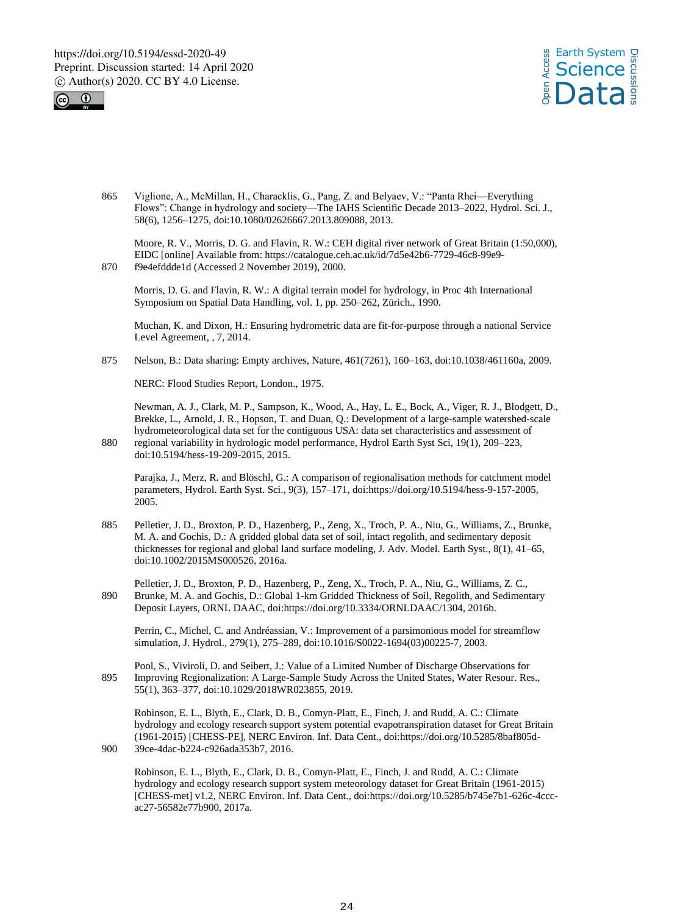



865 Viglione, A., McMillan, H., Characklis, G., Pang, Z. and Belyaev, V.: "Panta Rhei—Everything Flows": Change in hydrology and society—The IAHS Scientific Decade 2013–2022, Hydrol. Sci. J., 58(6), 1256–1275, doi:10.1080/02626667.2013.809088, 2013.

Moore, R. V., Morris, D. G. and Flavin, R. W.: CEH digital river network of Great Britain (1:50,000), EIDC [online] Available from: https://catalogue.ceh.ac.uk/id/7d5e42b6-7729-46c8-99e9- 870 f9e4efddde1d (Accessed 2 November 2019), 2000.

Morris, D. G. and Flavin, R. W.: A digital terrain model for hydrology, in Proc 4th International Symposium on Spatial Data Handling, vol. 1, pp. 250–262, Zürich., 1990.

Muchan, K. and Dixon, H.: Ensuring hydrometric data are fit-for-purpose through a national Service Level Agreement, , 7, 2014.

875 Nelson, B.: Data sharing: Empty archives, Nature, 461(7261), 160–163, doi:10.1038/461160a, 2009.

NERC: Flood Studies Report, London., 1975.

Newman, A. J., Clark, M. P., Sampson, K., Wood, A., Hay, L. E., Bock, A., Viger, R. J., Blodgett, D., Brekke, L., Arnold, J. R., Hopson, T. and Duan, Q.: Development of a large-sample watershed-scale hydrometeorological data set for the contiguous USA: data set characteristics and assessment of 880 regional variability in hydrologic model performance, Hydrol Earth Syst Sci, 19(1), 209–223,

doi:10.5194/hess-19-209-2015, 2015.

Parajka, J., Merz, R. and Blöschl, G.: A comparison of regionalisation methods for catchment model parameters, Hydrol. Earth Syst. Sci., 9(3), 157–171, doi:https://doi.org/10.5194/hess-9-157-2005, 2005.

885 Pelletier, J. D., Broxton, P. D., Hazenberg, P., Zeng, X., Troch, P. A., Niu, G., Williams, Z., Brunke, M. A. and Gochis, D.: A gridded global data set of soil, intact regolith, and sedimentary deposit thicknesses for regional and global land surface modeling, J. Adv. Model. Earth Syst., 8(1), 41–65, doi:10.1002/2015MS000526, 2016a.

Pelletier, J. D., Broxton, P. D., Hazenberg, P., Zeng, X., Troch, P. A., Niu, G., Williams, Z. C., 890 Brunke, M. A. and Gochis, D.: Global 1-km Gridded Thickness of Soil, Regolith, and Sedimentary Deposit Layers, ORNL DAAC, doi:https://doi.org/10.3334/ORNLDAAC/1304, 2016b.

Perrin, C., Michel, C. and Andréassian, V.: Improvement of a parsimonious model for streamflow simulation, J. Hydrol., 279(1), 275–289, doi:10.1016/S0022-1694(03)00225-7, 2003.

Pool, S., Viviroli, D. and Seibert, J.: Value of a Limited Number of Discharge Observations for 895 Improving Regionalization: A Large-Sample Study Across the United States, Water Resour. Res., 55(1), 363–377, doi:10.1029/2018WR023855, 2019.

Robinson, E. L., Blyth, E., Clark, D. B., Comyn-Platt, E., Finch, J. and Rudd, A. C.: Climate hydrology and ecology research support system potential evapotranspiration dataset for Great Britain (1961-2015) [CHESS-PE], NERC Environ. Inf. Data Cent., doi:https://doi.org/10.5285/8baf805d-900 39ce-4dac-b224-c926ada353b7, 2016.

Robinson, E. L., Blyth, E., Clark, D. B., Comyn-Platt, E., Finch, J. and Rudd, A. C.: Climate hydrology and ecology research support system meteorology dataset for Great Britain (1961-2015) [CHESS-met] v1.2, NERC Environ. Inf. Data Cent., doi:https://doi.org/10.5285/b745e7b1-626c-4cccac27-56582e77b900, 2017a.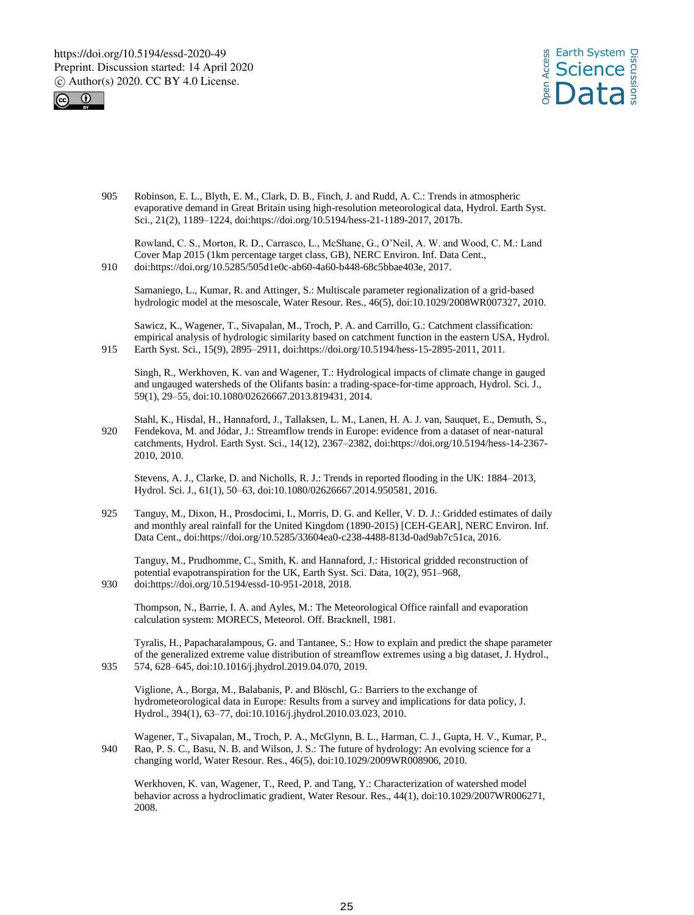



905 Robinson, E. L., Blyth, E. M., Clark, D. B., Finch, J. and Rudd, A. C.: Trends in atmospheric evaporative demand in Great Britain using high-resolution meteorological data, Hydrol. Earth Syst. Sci., 21(2), 1189–1224, doi:https://doi.org/10.5194/hess-21-1189-2017, 2017b.

Rowland, C. S., Morton, R. D., Carrasco, L., McShane, G., O'Neil, A. W. and Wood, C. M.: Land Cover Map 2015 (1km percentage target class, GB), NERC Environ. Inf. Data Cent., 910 doi:https://doi.org/10.5285/505d1e0c-ab60-4a60-b448-68c5bbae403e, 2017.

Samaniego, L., Kumar, R. and Attinger, S.: Multiscale parameter regionalization of a grid-based hydrologic model at the mesoscale, Water Resour. Res., 46(5), doi:10.1029/2008WR007327, 2010.

Sawicz, K., Wagener, T., Sivapalan, M., Troch, P. A. and Carrillo, G.: Catchment classification: empirical analysis of hydrologic similarity based on catchment function in the eastern USA, Hydrol. 915 Earth Syst. Sci., 15(9), 2895–2911, doi:https://doi.org/10.5194/hess-15-2895-2011, 2011.

Singh, R., Werkhoven, K. van and Wagener, T.: Hydrological impacts of climate change in gauged and ungauged watersheds of the Olifants basin: a trading-space-for-time approach, Hydrol. Sci. J., 59(1), 29–55, doi:10.1080/02626667.2013.819431, 2014.

Stahl, K., Hisdal, H., Hannaford, J., Tallaksen, L. M., Lanen, H. A. J. van, Sauquet, E., Demuth, S., 920 Fendekova, M. and Jódar, J.: Streamflow trends in Europe: evidence from a dataset of near-natural catchments, Hydrol. Earth Syst. Sci., 14(12), 2367–2382, doi:https://doi.org/10.5194/hess-14-2367- 2010, 2010.

Stevens, A. J., Clarke, D. and Nicholls, R. J.: Trends in reported flooding in the UK: 1884–2013, Hydrol. Sci. J., 61(1), 50–63, doi:10.1080/02626667.2014.950581, 2016.

925 Tanguy, M., Dixon, H., Prosdocimi, I., Morris, D. G. and Keller, V. D. J.: Gridded estimates of daily and monthly areal rainfall for the United Kingdom (1890-2015) [CEH-GEAR], NERC Environ. Inf. Data Cent., doi:https://doi.org/10.5285/33604ea0-c238-4488-813d-0ad9ab7c51ca, 2016.

Tanguy, M., Prudhomme, C., Smith, K. and Hannaford, J.: Historical gridded reconstruction of potential evapotranspiration for the UK, Earth Syst. Sci. Data, 10(2), 951–968,

930 doi:https://doi.org/10.5194/essd-10-951-2018, 2018.

Thompson, N., Barrie, I. A. and Ayles, M.: The Meteorological Office rainfall and evaporation calculation system: MORECS, Meteorol. Off. Bracknell, 1981.

Tyralis, H., Papacharalampous, G. and Tantanee, S.: How to explain and predict the shape parameter of the generalized extreme value distribution of streamflow extremes using a big dataset, J. Hydrol., 935 574, 628–645, doi:10.1016/j.jhydrol.2019.04.070, 2019.

Viglione, A., Borga, M., Balabanis, P. and Blöschl, G.: Barriers to the exchange of hydrometeorological data in Europe: Results from a survey and implications for data policy, J. Hydrol., 394(1), 63–77, doi:10.1016/j.jhydrol.2010.03.023, 2010.

Wagener, T., Sivapalan, M., Troch, P. A., McGlynn, B. L., Harman, C. J., Gupta, H. V., Kumar, P., 940 Rao, P. S. C., Basu, N. B. and Wilson, J. S.: The future of hydrology: An evolving science for a changing world, Water Resour. Res., 46(5), doi:10.1029/2009WR008906, 2010.

Werkhoven, K. van, Wagener, T., Reed, P. and Tang, Y.: Characterization of watershed model behavior across a hydroclimatic gradient, Water Resour. Res., 44(1), doi:10.1029/2007WR006271, 2008.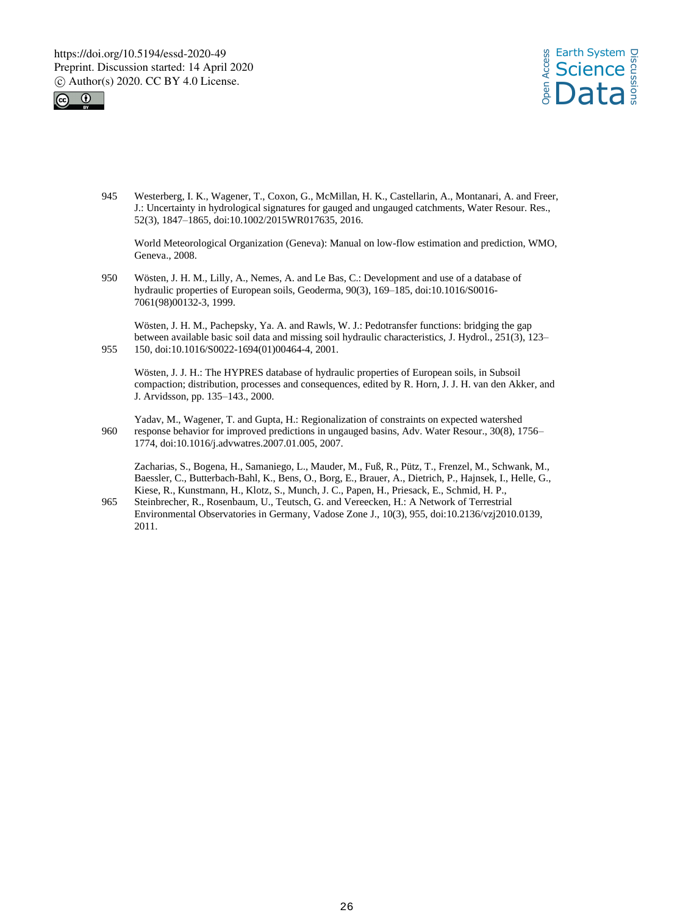



945 Westerberg, I. K., Wagener, T., Coxon, G., McMillan, H. K., Castellarin, A., Montanari, A. and Freer, J.: Uncertainty in hydrological signatures for gauged and ungauged catchments, Water Resour. Res., 52(3), 1847–1865, doi:10.1002/2015WR017635, 2016.

World Meteorological Organization (Geneva): Manual on low-flow estimation and prediction, WMO, Geneva., 2008.

950 Wösten, J. H. M., Lilly, A., Nemes, A. and Le Bas, C.: Development and use of a database of hydraulic properties of European soils, Geoderma, 90(3), 169–185, doi:10.1016/S0016- 7061(98)00132-3, 1999.

Wösten, J. H. M., Pachepsky, Ya. A. and Rawls, W. J.: Pedotransfer functions: bridging the gap between available basic soil data and missing soil hydraulic characteristics, J. Hydrol., 251(3), 123– 955 150, doi:10.1016/S0022-1694(01)00464-4, 2001.

Wösten, J. J. H.: The HYPRES database of hydraulic properties of European soils, in Subsoil compaction; distribution, processes and consequences, edited by R. Horn, J. J. H. van den Akker, and J. Arvidsson, pp. 135–143., 2000.

Yadav, M., Wagener, T. and Gupta, H.: Regionalization of constraints on expected watershed 960 response behavior for improved predictions in ungauged basins, Adv. Water Resour., 30(8), 1756– 1774, doi:10.1016/j.advwatres.2007.01.005, 2007.

Zacharias, S., Bogena, H., Samaniego, L., Mauder, M., Fuß, R., Pütz, T., Frenzel, M., Schwank, M., Baessler, C., Butterbach-Bahl, K., Bens, O., Borg, E., Brauer, A., Dietrich, P., Hajnsek, I., Helle, G., Kiese, R., Kunstmann, H., Klotz, S., Munch, J. C., Papen, H., Priesack, E., Schmid, H. P.,

965 Steinbrecher, R., Rosenbaum, U., Teutsch, G. and Vereecken, H.: A Network of Terrestrial Environmental Observatories in Germany, Vadose Zone J., 10(3), 955, doi:10.2136/vzj2010.0139, 2011.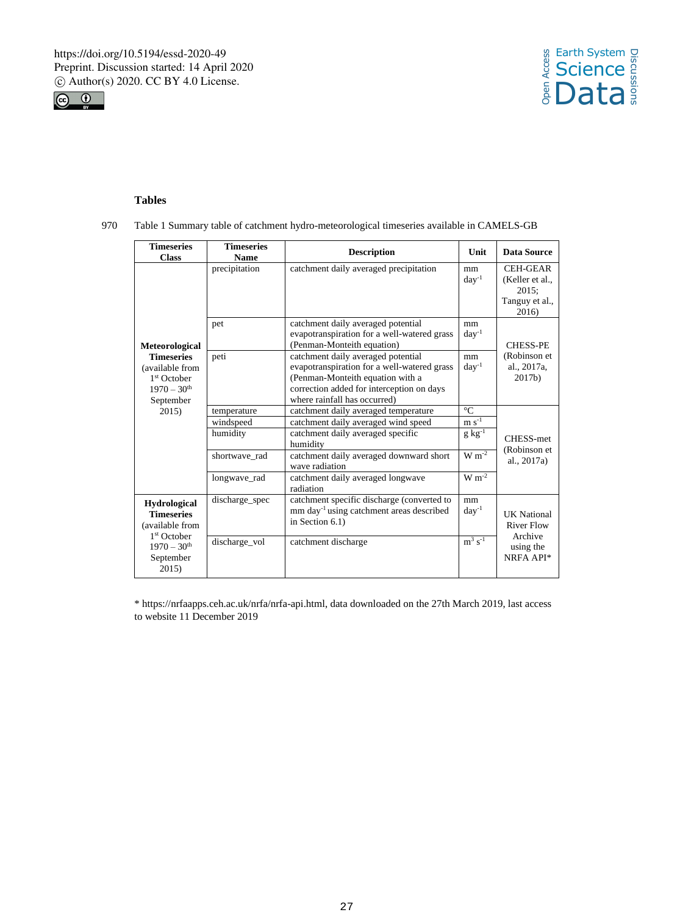



# **Tables**

970 Table 1 Summary table of catchment hydro-meteorological timeseries available in CAMELS-GB

| <b>Timeseries</b><br><b>Class</b>                                                               | <b>Timeseries</b><br><b>Name</b>                      | <b>Description</b>                                                                                                                                                                                 | Unit                                                | Data Source                                                            |
|-------------------------------------------------------------------------------------------------|-------------------------------------------------------|----------------------------------------------------------------------------------------------------------------------------------------------------------------------------------------------------|-----------------------------------------------------|------------------------------------------------------------------------|
|                                                                                                 | precipitation                                         | catchment daily averaged precipitation                                                                                                                                                             | mm<br>$day^{-1}$                                    | <b>CEH-GEAR</b><br>(Keller et al.,<br>2015:<br>Tanguy et al.,<br>2016) |
| Meteorological                                                                                  | pet                                                   | catchment daily averaged potential<br>evapotranspiration for a well-watered grass<br>(Penman-Monteith equation)                                                                                    | mm<br>$day^{-1}$                                    | <b>CHESS-PE</b>                                                        |
| <b>Timeseries</b><br>(available from<br>$1st$ October<br>$1970 - 30$ <sup>th</sup><br>September | peti                                                  | catchment daily averaged potential<br>evapotranspiration for a well-watered grass<br>(Penman-Monteith equation with a<br>correction added for interception on days<br>where rainfall has occurred) | mm<br>$day^{-1}$                                    | (Robinson et<br>al., 2017a,<br>2017 <sub>b</sub>                       |
| 2015)                                                                                           | temperature<br>windspeed<br>humidity<br>shortwave_rad | catchment daily averaged temperature<br>catchment daily averaged wind speed<br>catchment daily averaged specific<br>humidity<br>catchment daily averaged downward short<br>wave radiation          | $^{\circ}C$<br>$m s-1$<br>$g kg^{-1}$<br>$W m^{-2}$ | CHESS-met<br>(Robinson et<br>al., $2017a$ )                            |
|                                                                                                 | longwave rad                                          | catchment daily averaged longwave<br>radiation                                                                                                                                                     | $W m^{-2}$                                          |                                                                        |
| <b>Hydrological</b><br><b>Timeseries</b><br>(available from                                     | discharge_spec                                        | catchment specific discharge (converted to<br>mm day <sup>-1</sup> using catchment areas described<br>in Section $6.1$ )                                                                           | mm<br>$day^{-1}$                                    | <b>UK</b> National<br><b>River Flow</b>                                |
| 1 <sup>st</sup> October<br>$1970 - 30$ <sup>th</sup><br>September<br>2015                       | discharge vol                                         | catchment discharge                                                                                                                                                                                | $m^3$ s <sup>-1</sup>                               | Archive<br>using the<br>NRFA API*                                      |

\* https://nrfaapps.ceh.ac.uk/nrfa/nrfa-api.html, data downloaded on the 27th March 2019, last access to website 11 December 2019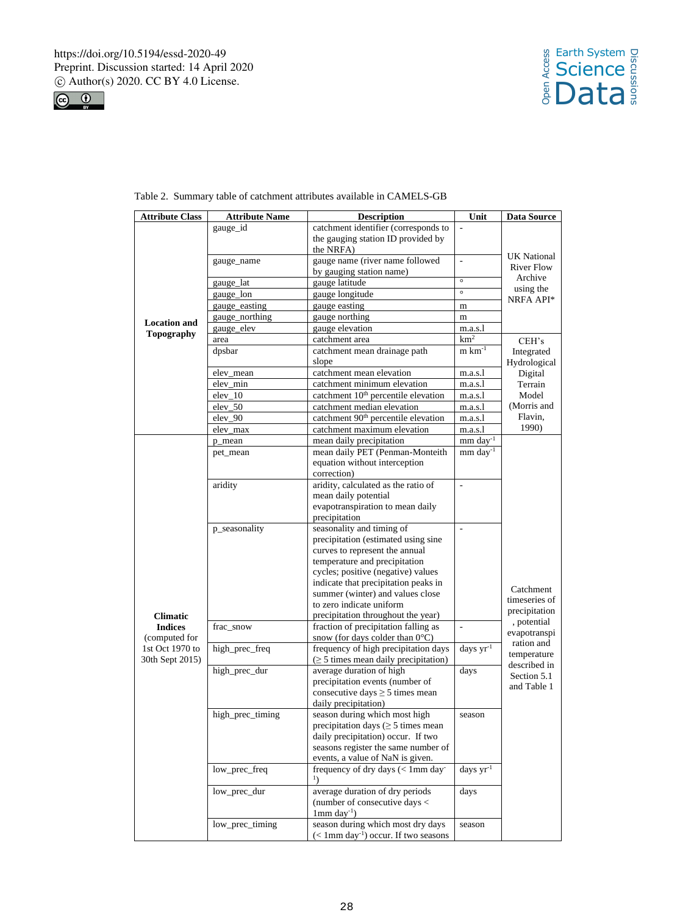



| <b>Attribute Class</b>                   | <b>Attribute Name</b> | <b>Description</b>                                                        | Unit                     | <b>Data Source</b>     |
|------------------------------------------|-----------------------|---------------------------------------------------------------------------|--------------------------|------------------------|
|                                          | gauge_id              | catchment identifier (corresponds to                                      | L,                       |                        |
|                                          |                       | the gauging station ID provided by                                        |                          |                        |
|                                          |                       | the NRFA)                                                                 |                          |                        |
|                                          | gauge_name            | gauge name (river name followed                                           | $\overline{\phantom{a}}$ | <b>UK</b> National     |
|                                          |                       | by gauging station name)                                                  |                          | <b>River Flow</b>      |
|                                          | gauge_lat             | gauge latitude                                                            | $\circ$                  | Archive                |
|                                          | gauge_lon             | gauge longitude                                                           | $\circ$                  | using the<br>NRFA API* |
|                                          | gauge_easting         | gauge easting                                                             | m                        |                        |
|                                          | gauge_northing        | gauge northing                                                            | m                        |                        |
| <b>Location</b> and<br><b>Topography</b> | gauge_elev            | gauge elevation                                                           | m.a.s.l                  |                        |
|                                          | area                  | catchment area                                                            | km <sup>2</sup>          | CEH's                  |
|                                          | dpsbar                | catchment mean drainage path                                              | $m \text{ km}^{-1}$      | Integrated             |
|                                          |                       | slope                                                                     |                          | Hydrological           |
|                                          | elev_mean             | catchment mean elevation                                                  | m.a.s.l                  | Digital                |
|                                          | elev_min              | catchment minimum elevation                                               | m.a.s.1                  | Terrain                |
|                                          | elev 10               | catchment 10 <sup>th</sup> percentile elevation                           | m.a.s.l                  | Model                  |
|                                          | elev_50               | catchment median elevation                                                | m.a.s.l                  | (Morris and            |
|                                          | elev 90               | catchment 90 <sup>th</sup> percentile elevation                           | m.a.s.l                  | Flavin,                |
|                                          | elev_max              | catchment maximum elevation                                               | m.a.s.l                  | 1990)                  |
|                                          | p_mean                | mean daily precipitation                                                  | $mm \, day^{-1}$         |                        |
|                                          | pet_mean              | mean daily PET (Penman-Monteith                                           | $mm \, day^{-1}$         |                        |
|                                          |                       | equation without interception                                             |                          |                        |
|                                          |                       | correction)                                                               |                          |                        |
|                                          | aridity               | aridity, calculated as the ratio of                                       | $\overline{\phantom{a}}$ |                        |
|                                          |                       | mean daily potential                                                      |                          |                        |
|                                          |                       | evapotranspiration to mean daily                                          |                          |                        |
|                                          |                       | precipitation                                                             |                          |                        |
|                                          | p_seasonality         | seasonality and timing of                                                 | $\overline{\phantom{a}}$ |                        |
|                                          |                       | precipitation (estimated using sine                                       |                          |                        |
|                                          |                       | curves to represent the annual                                            |                          |                        |
|                                          |                       | temperature and precipitation                                             |                          |                        |
|                                          |                       | cycles; positive (negative) values                                        |                          |                        |
|                                          |                       | indicate that precipitation peaks in                                      |                          | Catchment              |
|                                          |                       | summer (winter) and values close                                          |                          | timeseries of          |
|                                          |                       | to zero indicate uniform                                                  |                          | precipitation          |
| <b>Climatic</b>                          |                       | precipitation throughout the year)                                        |                          | , potential            |
| <b>Indices</b>                           | frac_snow             | fraction of precipitation falling as                                      | $\overline{\phantom{a}}$ | evapotranspi           |
| (computed for                            |                       | snow (for days colder than 0°C)                                           |                          | ration and             |
| 1st Oct 1970 to                          | high_prec_freq        | frequency of high precipitation days                                      | days $yr^{-1}$           | temperature            |
| 30th Sept 2015)                          |                       | $(\geq 5$ times mean daily precipitation)                                 |                          | described in           |
|                                          | high_prec_dur         | average duration of high                                                  | days                     | Section 5.1            |
|                                          |                       | precipitation events (number of                                           |                          | and Table 1            |
|                                          |                       | consecutive days $\geq$ 5 times mean<br>daily precipitation)              |                          |                        |
|                                          | high_prec_timing      |                                                                           | season                   |                        |
|                                          |                       | season during which most high<br>precipitation days ( $\geq$ 5 times mean |                          |                        |
|                                          |                       | daily precipitation) occur. If two                                        |                          |                        |
|                                          |                       | seasons register the same number of                                       |                          |                        |
|                                          |                       | events, a value of NaN is given.                                          |                          |                        |
|                                          | low_prec_freq         | frequency of dry days (< 1mm day                                          | days $yr^{-1}$           |                        |
|                                          |                       | $\mathbf{1}$                                                              |                          |                        |
|                                          | low_prec_dur          | average duration of dry periods                                           | days                     |                        |
|                                          |                       | (number of consecutive days <                                             |                          |                        |
|                                          |                       | $1mm$ day <sup>-1</sup> )                                                 |                          |                        |
|                                          | low_prec_timing       | season during which most dry days                                         | season                   |                        |
|                                          |                       | $(< 1$ mm day <sup>-1</sup> ) occur. If two seasons                       |                          |                        |

# Table 2. Summary table of catchment attributes available in CAMELS-GB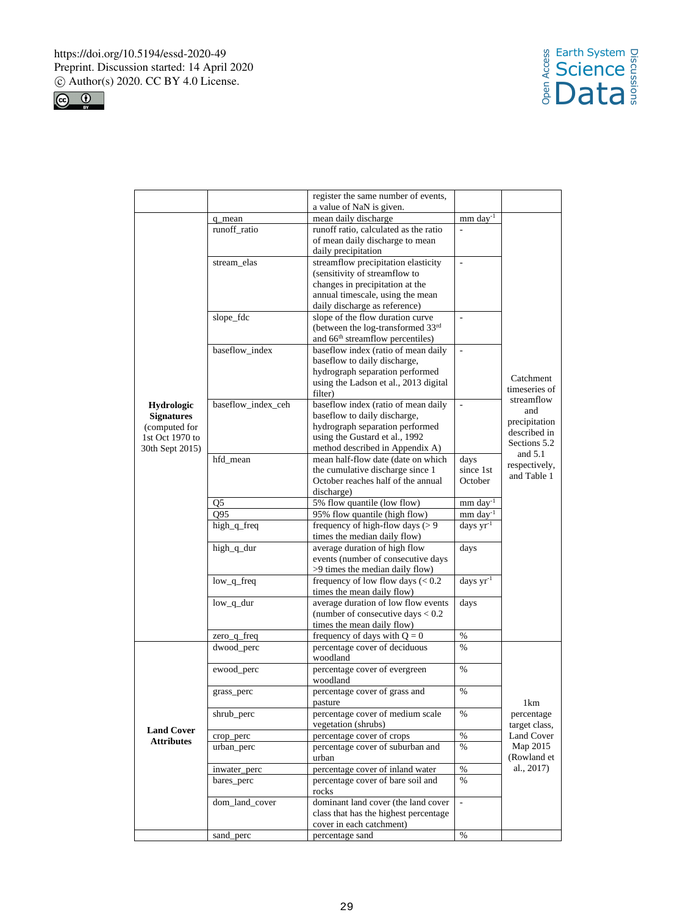



|                   |                    | register the same number of events,<br>a value of NaN is given.          |                       |                              |
|-------------------|--------------------|--------------------------------------------------------------------------|-----------------------|------------------------------|
|                   | q_mean             | mean daily discharge                                                     | $mm \, day^{-1}$      |                              |
|                   | runoff_ratio       | runoff ratio, calculated as the ratio                                    | $\overline{a}$        |                              |
|                   |                    | of mean daily discharge to mean                                          |                       |                              |
|                   |                    | daily precipitation                                                      |                       |                              |
|                   | stream_elas        | streamflow precipitation elasticity                                      | $\frac{1}{2}$         |                              |
|                   |                    | (sensitivity of streamflow to                                            |                       |                              |
|                   |                    | changes in precipitation at the                                          |                       |                              |
|                   |                    | annual timescale, using the mean                                         |                       |                              |
|                   |                    | daily discharge as reference)                                            |                       |                              |
|                   | slope_fdc          | slope of the flow duration curve                                         | ÷,                    |                              |
|                   |                    | (between the log-transformed $33rd$                                      |                       |                              |
|                   |                    | and 66 <sup>th</sup> streamflow percentiles)                             |                       |                              |
|                   | baseflow index     | baseflow index (ratio of mean daily                                      |                       |                              |
|                   |                    | baseflow to daily discharge,                                             |                       |                              |
|                   |                    | hydrograph separation performed<br>using the Ladson et al., 2013 digital |                       | Catchment                    |
|                   |                    | filter)                                                                  |                       | timeseries of                |
| Hydrologic        | baseflow_index_ceh | baseflow index (ratio of mean daily                                      | L.                    | streamflow                   |
| <b>Signatures</b> |                    | baseflow to daily discharge,                                             |                       | and                          |
| (computed for     |                    | hydrograph separation performed                                          |                       | precipitation                |
| 1st Oct 1970 to   |                    | using the Gustard et al., 1992                                           |                       | described in                 |
| 30th Sept 2015)   |                    | method described in Appendix A)                                          |                       | Sections 5.2                 |
|                   | hfd_mean           | mean half-flow date (date on which                                       | days                  | and $5.1$                    |
|                   |                    | the cumulative discharge since 1                                         | since 1st             | respectively,<br>and Table 1 |
|                   |                    | October reaches half of the annual                                       | October               |                              |
|                   |                    | discharge)                                                               |                       |                              |
|                   | Q <sub>5</sub>     | 5% flow quantile (low flow)                                              | mm day <sup>-1</sup>  |                              |
|                   | O <sub>95</sub>    | 95% flow quantile (high flow)                                            | mm day <sup>-1</sup>  |                              |
|                   | high_q_freq        | frequency of high-flow days $(>9$                                        | days yr <sup>-1</sup> |                              |
|                   |                    | times the median daily flow)                                             |                       |                              |
|                   | high_q_dur         | average duration of high flow                                            | days                  |                              |
|                   |                    | events (number of consecutive days<br>>9 times the median daily flow)    |                       |                              |
|                   | low_q_freq         | frequency of low flow days $(< 0.2$                                      | days yr <sup>-1</sup> |                              |
|                   |                    | times the mean daily flow)                                               |                       |                              |
|                   | low_q_dur          | average duration of low flow events                                      | days                  |                              |
|                   |                    | (number of consecutive days $< 0.2$ )                                    |                       |                              |
|                   |                    | times the mean daily flow)                                               |                       |                              |
|                   | zero_q_freq        | frequency of days with $Q = 0$                                           | $\%$                  |                              |
|                   | dwood_perc         | percentage cover of deciduous                                            | $\%$                  |                              |
|                   |                    | woodland                                                                 |                       |                              |
|                   | ewood_perc         | percentage cover of evergreen                                            | $\frac{0}{0}$         |                              |
|                   |                    | woodland                                                                 |                       |                              |
|                   | grass_perc         | percentage cover of grass and                                            | $\frac{0}{0}$         |                              |
|                   |                    | pasture                                                                  |                       | 1km                          |
|                   | shrub_perc         | percentage cover of medium scale<br>vegetation (shrubs)                  | %                     | percentage<br>target class,  |
| <b>Land Cover</b> | crop_perc          | percentage cover of crops                                                | $\%$                  | <b>Land Cover</b>            |
| <b>Attributes</b> | urban_perc         | percentage cover of suburban and                                         | $\%$                  | Map 2015                     |
|                   |                    | urban                                                                    |                       | (Rowland et                  |
|                   | inwater_perc       | percentage cover of inland water                                         | $\%$                  | al., 2017)                   |
|                   | bares_perc         | percentage cover of bare soil and                                        | $\%$                  |                              |
|                   |                    | rocks                                                                    |                       |                              |
|                   | dom_land_cover     | dominant land cover (the land cover                                      | $\bar{\phantom{a}}$   |                              |
|                   |                    | class that has the highest percentage                                    |                       |                              |
|                   |                    | cover in each catchment)                                                 |                       |                              |
|                   | sand_perc          | percentage sand                                                          | %                     |                              |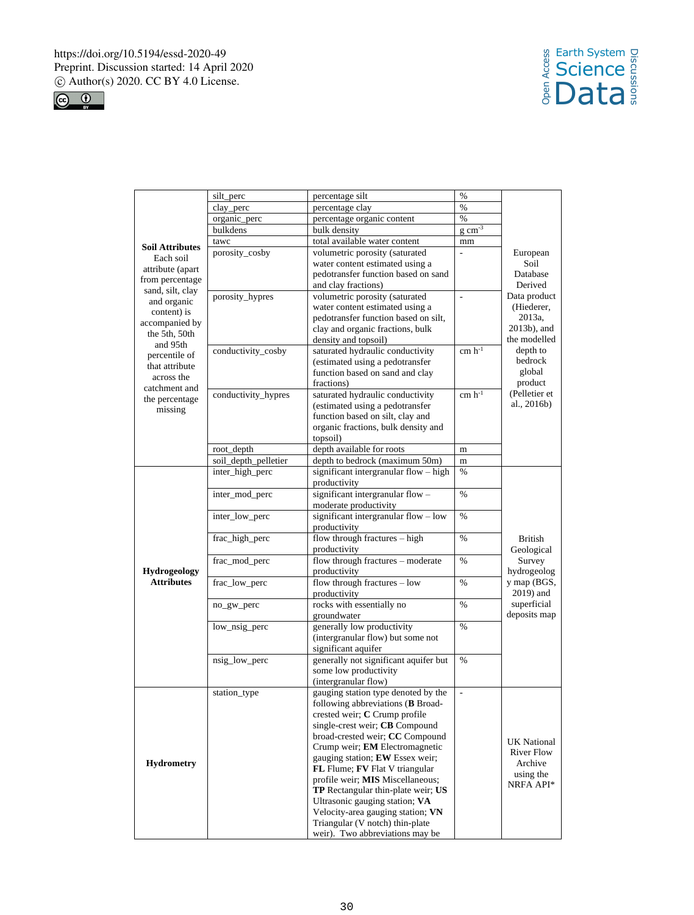



|                              | silt_perc            | percentage silt                       | %                        |                      |
|------------------------------|----------------------|---------------------------------------|--------------------------|----------------------|
|                              | clay_perc            | percentage clay                       | $\%$                     |                      |
|                              | organic_perc         | percentage organic content            | $\%$                     |                      |
|                              | bulkdens             | bulk density                          | $g \text{ cm}^{-3}$      |                      |
|                              | tawc                 | total available water content         | mm                       |                      |
| <b>Soil Attributes</b>       | porosity_cosby       | volumetric porosity (saturated        | $\overline{a}$           | European             |
| Each soil                    |                      | water content estimated using a       |                          | Soil                 |
| attribute (apart             |                      | pedotransfer function based on sand   |                          | Database             |
| from percentage              |                      | and clay fractions)                   |                          | Derived              |
| sand, silt, clay             | porosity_hypres      | volumetric porosity (saturated        | $\overline{\phantom{a}}$ | Data product         |
| and organic                  |                      | water content estimated using a       |                          | (Hiederer,           |
| content) is                  |                      | pedotransfer function based on silt,  |                          | 2013a.               |
| accompanied by               |                      | clay and organic fractions, bulk      |                          | 2013b), and          |
| the 5th, 50th<br>and 95th    |                      | density and topsoil)                  |                          | the modelled         |
| percentile of                | conductivity_cosby   | saturated hydraulic conductivity      | $cm h^{-1}$              | depth to             |
|                              |                      | (estimated using a pedotransfer       |                          | bedrock              |
| that attribute<br>across the |                      | function based on sand and clay       |                          | global               |
| catchment and                |                      | fractions)                            |                          | product              |
| the percentage               | conductivity_hypres  | saturated hydraulic conductivity      | $cm h^{-1}$              | (Pelletier et        |
| missing                      |                      | (estimated using a pedotransfer       |                          | al., 2016b)          |
|                              |                      | function based on silt, clay and      |                          |                      |
|                              |                      | organic fractions, bulk density and   |                          |                      |
|                              |                      | topsoil)                              |                          |                      |
|                              | root_depth           | depth available for roots             | m                        |                      |
|                              | soil_depth_pelletier | depth to bedrock (maximum 50m)        | m                        |                      |
|                              | inter_high_perc      | significant intergranular flow - high | $\frac{0}{0}$            |                      |
|                              |                      | productivity                          |                          |                      |
|                              | inter_mod_perc       | significant intergranular flow -      | $\frac{0}{0}$            |                      |
|                              |                      | moderate productivity                 |                          |                      |
|                              | inter_low_perc       | significant intergranular flow - low  | $\frac{0}{0}$            |                      |
|                              |                      | productivity                          |                          |                      |
|                              | frac_high_perc       | flow through fractures - high         | $\%$                     | British              |
|                              |                      | productivity                          |                          | Geological           |
|                              | frac_mod_perc        | flow through fractures - moderate     | $\frac{0}{0}$            | Survey               |
| <b>Hydrogeology</b>          |                      | productivity                          |                          | hydrogeolog          |
| <b>Attributes</b>            | frac_low_perc        | flow through fractures - low          | $\frac{0}{0}$            | y map (BGS,          |
|                              |                      | productivity                          |                          | $2019$ ) and         |
|                              | no_gw_perc           | rocks with essentially no             | $\%$                     | superficial          |
|                              |                      | groundwater                           |                          | deposits map         |
|                              | low_nsig_perc        | generally low productivity            | $\frac{0}{0}$            |                      |
|                              |                      | (intergranular flow) but some not     |                          |                      |
|                              |                      | significant aquifer                   |                          |                      |
|                              | nsig_low_perc        | generally not significant aquifer but | $\%$                     |                      |
|                              |                      | some low productivity                 |                          |                      |
|                              |                      | (intergranular flow)                  |                          |                      |
|                              | station_type         | gauging station type denoted by the   | $\overline{\phantom{a}}$ |                      |
|                              |                      | following abbreviations (B Broad-     |                          |                      |
|                              |                      | crested weir; C Crump profile         |                          |                      |
|                              |                      | single-crest weir; CB Compound        |                          |                      |
|                              |                      | broad-crested weir; CC Compound       |                          | <b>UK National</b>   |
|                              |                      | Crump weir; <b>EM</b> Electromagnetic |                          | River Flow           |
| <b>Hydrometry</b>            |                      | gauging station; EW Essex weir;       |                          |                      |
|                              |                      | FL Flume; FV Flat V triangular        |                          | Archive<br>using the |
|                              |                      | profile weir; MIS Miscellaneous;      |                          | NRFA API*            |
|                              |                      | TP Rectangular thin-plate weir; US    |                          |                      |
|                              |                      | Ultrasonic gauging station; VA        |                          |                      |
|                              |                      | Velocity-area gauging station; VN     |                          |                      |
|                              |                      | Triangular (V notch) thin-plate       |                          |                      |
|                              |                      | weir). Two abbreviations may be       |                          |                      |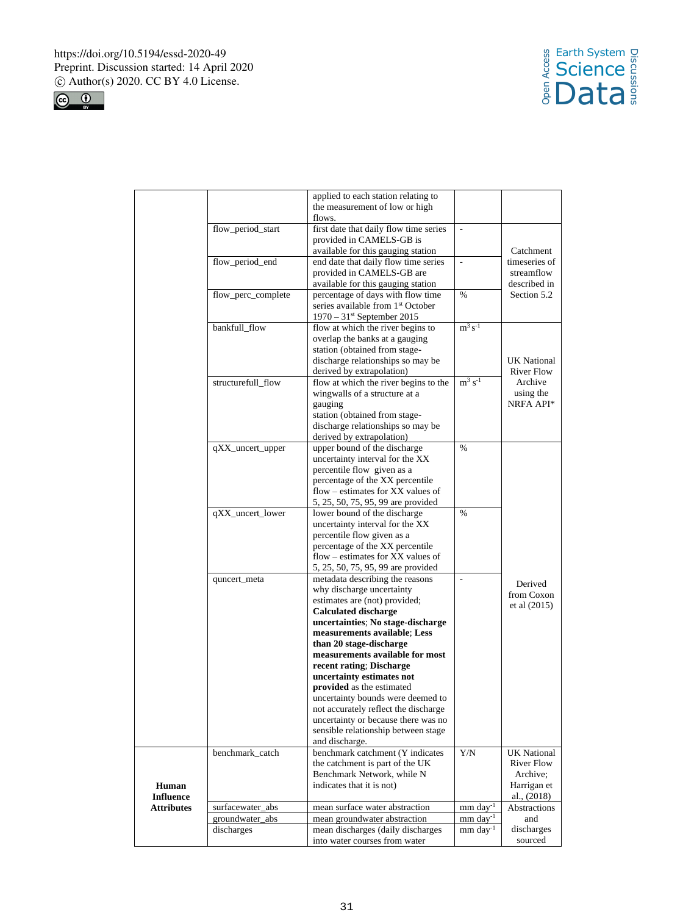



|                           |                                     | applied to each station relating to                                 |                          |                                  |
|---------------------------|-------------------------------------|---------------------------------------------------------------------|--------------------------|----------------------------------|
|                           |                                     | the measurement of low or high                                      |                          |                                  |
|                           |                                     | flows.                                                              |                          |                                  |
|                           | flow_period_start                   | first date that daily flow time series                              | $\overline{\phantom{a}}$ |                                  |
|                           |                                     | provided in CAMELS-GB is                                            |                          |                                  |
|                           |                                     | available for this gauging station                                  |                          | Catchment                        |
|                           | flow_period_end                     | end date that daily flow time series                                | $\overline{\phantom{a}}$ | timeseries of                    |
|                           |                                     | provided in CAMELS-GB are                                           |                          | streamflow                       |
|                           |                                     | available for this gauging station                                  |                          | described in                     |
|                           | flow_perc_complete                  | percentage of days with flow time                                   | $\%$                     | Section 5.2                      |
|                           |                                     | series available from 1 <sup>st</sup> October                       |                          |                                  |
|                           |                                     | $1970 - 31$ <sup>st</sup> September 2015                            |                          |                                  |
|                           | bankfull_flow                       | flow at which the river begins to                                   | $m^3 s^{-1}$             |                                  |
|                           |                                     | overlap the banks at a gauging                                      |                          |                                  |
|                           |                                     | station (obtained from stage-                                       |                          |                                  |
|                           |                                     | discharge relationships so may be                                   |                          | UK National                      |
|                           |                                     | derived by extrapolation)                                           |                          | River Flow                       |
|                           | structurefull_flow                  | flow at which the river begins to the                               | $m^3 s^{-1}$             | Archive                          |
|                           |                                     |                                                                     |                          |                                  |
|                           |                                     | wingwalls of a structure at a<br>gauging                            |                          | using the<br>NRFA API*           |
|                           |                                     |                                                                     |                          |                                  |
|                           |                                     | station (obtained from stage-                                       |                          |                                  |
|                           |                                     | discharge relationships so may be                                   |                          |                                  |
|                           |                                     | derived by extrapolation)                                           |                          |                                  |
|                           | qXX_uncert_upper                    | upper bound of the discharge                                        | $\%$                     |                                  |
|                           |                                     | uncertainty interval for the XX                                     |                          |                                  |
|                           |                                     | percentile flow given as a                                          |                          |                                  |
|                           |                                     | percentage of the XX percentile                                     |                          |                                  |
|                           |                                     | flow – estimates for $XX$ values of                                 |                          |                                  |
|                           |                                     | 5, 25, 50, 75, 95, 99 are provided                                  |                          |                                  |
|                           | qXX_uncert_lower                    | lower bound of the discharge                                        | $\%$                     |                                  |
|                           |                                     | uncertainty interval for the XX                                     |                          |                                  |
|                           |                                     | percentile flow given as a                                          |                          |                                  |
|                           |                                     | percentage of the XX percentile                                     |                          |                                  |
|                           |                                     | flow - estimates for XX values of                                   |                          |                                  |
|                           |                                     | 5, 25, 50, 75, 95, 99 are provided                                  |                          |                                  |
|                           | quncert_meta                        | metadata describing the reasons                                     | $\overline{a}$           | Derived                          |
|                           |                                     | why discharge uncertainty                                           |                          | from Coxon                       |
|                           |                                     | estimates are (not) provided;                                       |                          | et al (2015)                     |
|                           |                                     | <b>Calculated discharge</b>                                         |                          |                                  |
|                           |                                     | uncertainties; No stage-discharge                                   |                          |                                  |
|                           |                                     | measurements available; Less                                        |                          |                                  |
|                           |                                     | than 20 stage-discharge                                             |                          |                                  |
|                           |                                     | measurements available for most                                     |                          |                                  |
|                           |                                     | recent rating; Discharge                                            |                          |                                  |
|                           |                                     | uncertainty estimates not                                           |                          |                                  |
|                           |                                     | provided as the estimated                                           |                          |                                  |
|                           |                                     | uncertainty bounds were deemed to                                   |                          |                                  |
|                           |                                     | not accurately reflect the discharge                                |                          |                                  |
|                           |                                     | uncertainty or because there was no                                 |                          |                                  |
|                           |                                     | sensible relationship between stage                                 |                          |                                  |
|                           |                                     | and discharge.                                                      | Y/N                      |                                  |
|                           | benchmark_catch                     | benchmark catchment (Y indicates<br>the catchment is part of the UK |                          | <b>UK National</b><br>River Flow |
|                           |                                     | Benchmark Network, while N                                          |                          | Archive;                         |
|                           |                                     | indicates that it is not)                                           |                          |                                  |
| Human<br><b>Influence</b> |                                     |                                                                     |                          | Harrigan et<br>al., (2018)       |
| <b>Attributes</b>         |                                     | mean surface water abstraction                                      | $mm$ day <sup>-1</sup>   | <b>Abstractions</b>              |
|                           | surfacewater_abs<br>groundwater_abs | mean groundwater abstraction                                        | mm day <sup>-1</sup>     | and                              |
|                           | discharges                          | mean discharges (daily discharges                                   | $mm \, day^{-1}$         | discharges                       |
|                           |                                     | into water courses from water                                       |                          | sourced                          |
|                           |                                     |                                                                     |                          |                                  |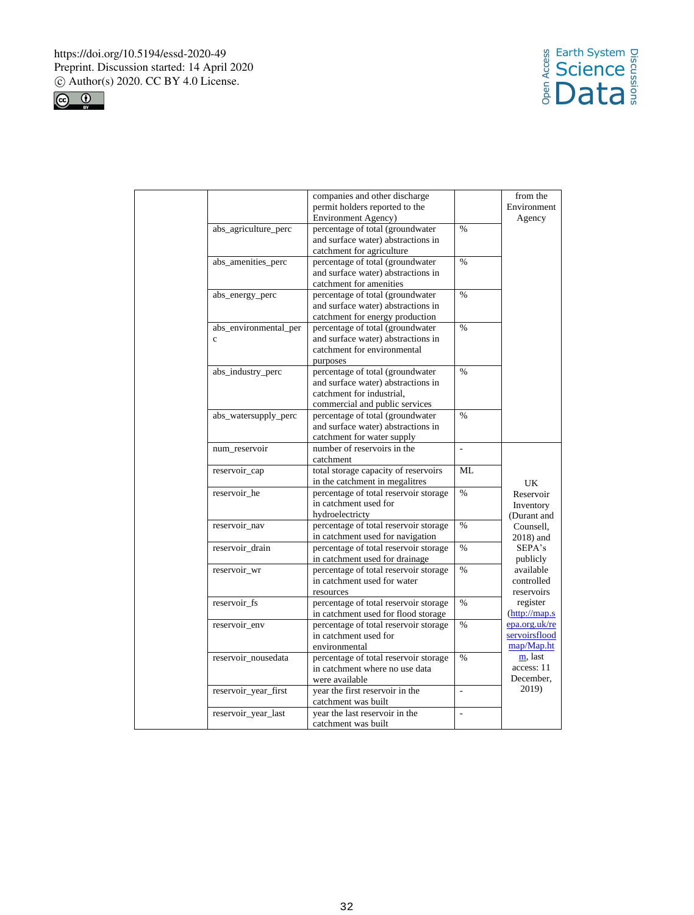



|                       | companies and other discharge                                          |                | from the                              |
|-----------------------|------------------------------------------------------------------------|----------------|---------------------------------------|
|                       | permit holders reported to the                                         |                | Environment                           |
|                       | Environment Agency)                                                    |                | Agency                                |
| abs_agriculture_perc  | percentage of total (groundwater                                       | $\frac{0}{0}$  |                                       |
|                       | and surface water) abstractions in                                     |                |                                       |
|                       | catchment for agriculture                                              |                |                                       |
| abs_amenities_perc    | percentage of total (groundwater                                       | $\frac{0}{0}$  |                                       |
|                       | and surface water) abstractions in                                     |                |                                       |
|                       | catchment for amenities                                                |                |                                       |
| abs_energy_perc       | percentage of total (groundwater                                       | $\frac{0}{0}$  |                                       |
|                       | and surface water) abstractions in                                     |                |                                       |
|                       | catchment for energy production                                        |                |                                       |
| abs_environmental_per | percentage of total (groundwater                                       | $\frac{0}{0}$  |                                       |
| $\mathbf{c}$          | and surface water) abstractions in                                     |                |                                       |
|                       | catchment for environmental                                            |                |                                       |
|                       | purposes                                                               |                |                                       |
| abs_industry_perc     | percentage of total (groundwater                                       | $\frac{0}{6}$  |                                       |
|                       | and surface water) abstractions in                                     |                |                                       |
|                       | catchment for industrial.                                              |                |                                       |
|                       | commercial and public services                                         |                |                                       |
| abs_watersupply_perc  | percentage of total (groundwater                                       | $\frac{0}{0}$  |                                       |
|                       | and surface water) abstractions in                                     |                |                                       |
|                       | catchment for water supply                                             |                |                                       |
| num_reservoir         | number of reservoirs in the                                            |                |                                       |
|                       | catchment                                                              | ML             |                                       |
| reservoir_cap         | total storage capacity of reservoirs<br>in the catchment in megalitres |                |                                       |
| reservoir he          | percentage of total reservoir storage                                  | $\frac{0}{0}$  | UK                                    |
|                       | in catchment used for                                                  |                | Reservoir                             |
|                       | hydroelectricty                                                        |                | Inventory                             |
| reservoir_nav         | percentage of total reservoir storage                                  | $\frac{0}{0}$  | (Durant and<br>Counsell.              |
|                       | in catchment used for navigation                                       |                | $2018$ ) and                          |
| reservoir_drain       | percentage of total reservoir storage                                  | $\%$           | SEPA's                                |
|                       | in catchment used for drainage                                         |                | publicly                              |
| reservoir_wr          | percentage of total reservoir storage                                  | $\%$           | available                             |
|                       | in catchment used for water                                            |                | controlled                            |
|                       | resources                                                              |                | reservoirs                            |
| reservoir_fs          | percentage of total reservoir storage                                  | $\frac{0}{0}$  | register                              |
|                       | in catchment used for flood storage                                    |                | $(\frac{http://map.s}{http://map.s})$ |
| reservoir env         | percentage of total reservoir storage                                  | $\frac{0}{0}$  | epa.org.uk/re                         |
|                       | in catchment used for                                                  |                | servoirsflood                         |
|                       | environmental                                                          |                | map/Map.ht                            |
| reservoir nousedata   | percentage of total reservoir storage                                  | $\frac{0}{0}$  | m, last                               |
|                       | in catchment where no use data                                         |                | access: 11                            |
|                       | were available                                                         |                | December,                             |
| reservoir_year_first  | year the first reservoir in the                                        | L.             | 2019)                                 |
|                       | catchment was built                                                    |                |                                       |
| reservoir_year_last   | year the last reservoir in the                                         | $\overline{a}$ |                                       |
|                       | catchment was built                                                    |                |                                       |
|                       |                                                                        |                |                                       |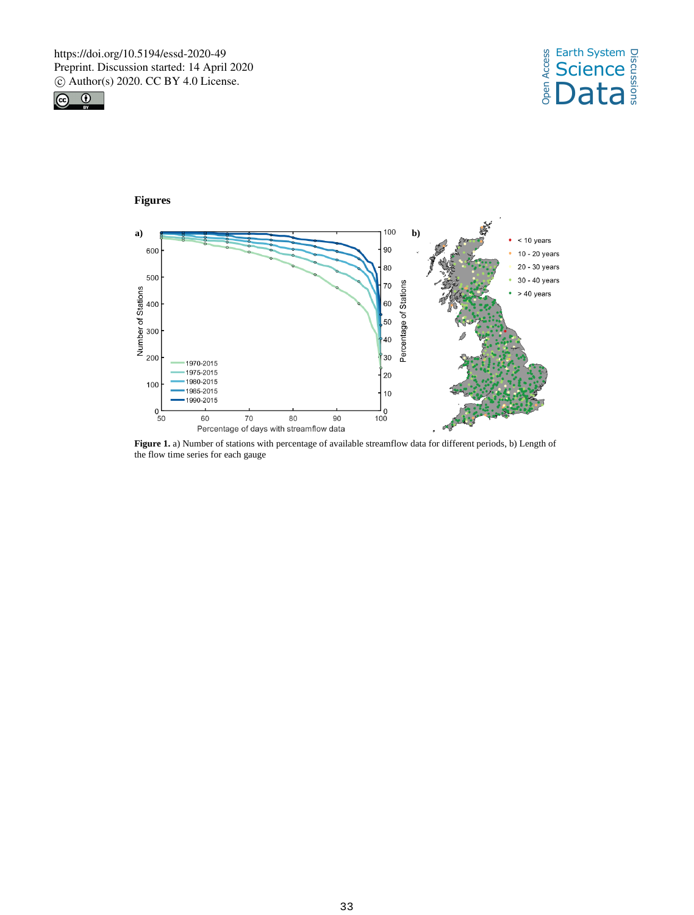







**Figure 1.** a) Number of stations with percentage of available streamflow data for different periods, b) Length of the flow time series for each gauge